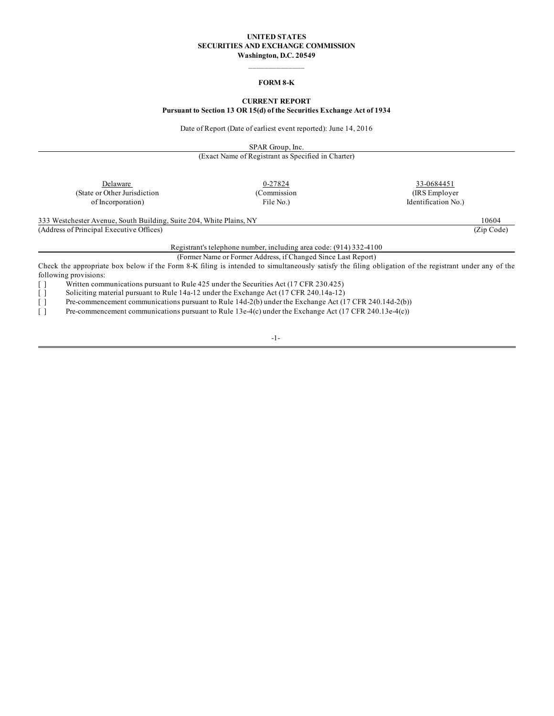## **UNITED STATES SECURITIES AND EXCHANGE COMMISSION Washington, D.C. 20549**

### **FORM 8-K**

## **CURRENT REPORT Pursuant to Section 13 OR 15(d) of the Securities Exchange Act of 1934**

Date of Report (Date of earliest event reported): June 14, 2016

SPAR Group, Inc.

(Exact Name of Registrant as Specified in Charter)

| Delaware                     |  |  |
|------------------------------|--|--|
| (State or Other Jurisdiction |  |  |
| of Incorporation)            |  |  |

0-27824 (Commission File No.)

33-0684451 (IRS Employer Identification No.)

333 Westchester Avenue, South Building, Suite 204, White Plains, NY 10604 (Address of Principal Executive Offices) (Zip Code)

Registrant's telephone number, including area code: (914) 332-4100

(Former Name or Former Address, if Changed Since Last Report)

Check the appropriate box below if the Form 8-K filing is intended to simultaneously satisfy the filing obligation of the registrant under any of the following provisions:

[ ] Written communications pursuant to Rule 425 under the Securities Act (17 CFR 230.425)

[ ] Soliciting material pursuant to Rule 14a-12 under the Exchange Act (17 CFR 240.14a-12)

[ ] Pre-commencement communications pursuant to Rule 14d-2(b) under the Exchange Act (17 CFR 240.14d-2(b))

[ ] Pre-commencement communications pursuant to Rule 13e-4(c) under the Exchange Act (17 CFR 240.13e-4(c))

-1-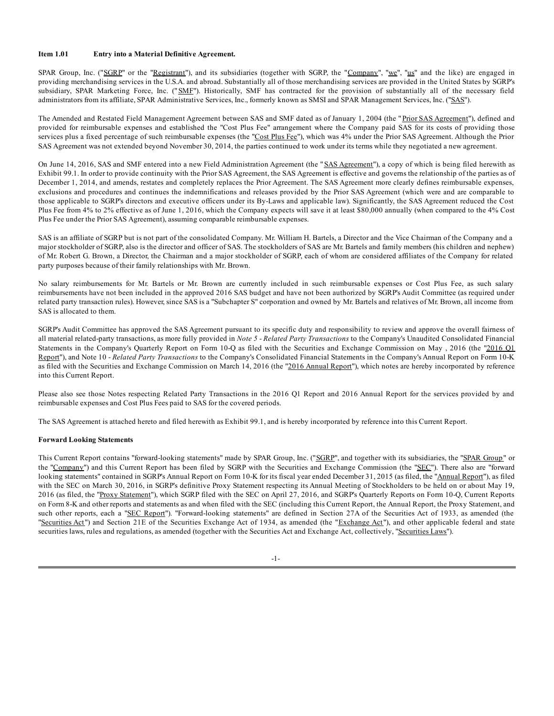### **Item 1.01 Entry into a Material Definitive Agreement.**

SPAR Group, Inc. ("SGRP" or the "Registrant"), and its subsidiaries (together with SGRP, the "Company", "we", "us" and the like) are engaged in providing merchandising services in the U.S.A. and abroad. Substantially all of those merchandising services are provided in the United States by SGRP's subsidiary, SPAR Marketing Force, Inc. ("SMF"). Historically, SMF has contracted for the provision of substantially all of the necessary field administrators from its affiliate, SPAR Administrative Services, Inc., formerly known as SMSI and SPAR Management Services, Inc. ("SAS").

The Amended and Restated Field Management Agreement between SAS and SMF dated as of January 1, 2004 (the "Prior SAS Agreement"), defined and provided for reimbursable expenses and established the "Cost Plus Fee" arrangement where the Company paid SAS for its costs of providing those services plus a fixed percentage of such reimbursable expenses (the "Cost Plus Fee"), which was 4% under the Prior SAS Agreement. Although the Prior SAS Agreement was not extended beyond November 30, 2014, the parties continued to work under its terms while they negotiated a new agreement.

On June 14, 2016, SAS and SMF entered into a new Field Administration Agreement (the "SAS Agreement"), a copy of which is being filed herewith as Exhibit 99.1. In order to provide continuity with the Prior SAS Agreement, the SAS Agreement is effective and governs the relationship of the parties as of December 1, 2014, and amends, restates and completely replaces the Prior Agreement. The SAS Agreement more clearly defines reimbursable expenses, exclusions and procedures and continues the indemnifications and releases provided by the Prior SAS Agreement (which were and are comparable to those applicable to SGRP's directors and executive officers under its By-Laws and applicable law). Significantly, the SAS Agreement reduced the Cost Plus Fee from 4% to 2% effective as of June 1, 2016, which the Company expects will save it at least \$80,000 annually (when compared to the 4% Cost Plus Fee under the Prior SAS Agreement), assuming comparable reimbursable expenses.

SAS is an affiliate of SGRP but is not part of the consolidated Company. Mr. William H. Bartels, a Director and the Vice Chairman of the Company and a major stockholder of SGRP, also is the director and officer of SAS. The stockholders of SAS are Mr. Bartels and family members (his children and nephew) of Mr. Robert G. Brown, a Director, the Chairman and a major stockholder of SGRP, each of whom are considered affiliates of the Company for related party purposes because of their family relationships with Mr. Brown.

No salary reimbursements for Mr. Bartels or Mr. Brown are currently included in such reimbursable expenses or Cost Plus Fee, as such salary reimbursements have not been included in the approved 2016 SAS budget and have not been authorized by SGRP's Audit Committee (as required under related party transaction rules). However, since SAS is a "Subchapter S" corporation and owned by Mr. Bartels and relatives of Mr. Brown, all income from SAS is allocated to them.

SGRP's Audit Committee has approved the SAS Agreement pursuant to its specific duty and responsibility to review and approve the overall fairness of all material related-party transactions, as more fully provided in *Note 5 - Related Party Transactions* to the Company's Unaudited Consolidated Financial Statements in the Company's Quarterly Report on Form 10-Q as filed with the Securities and Exchange Commission on May , 2016 (the "2016 Q1 Report"), and Note 10 - *Related Party Transactions* to the Company's Consolidated Financial Statements in the Company's Annual Report on Form 10-K as filed with the Securities and Exchange Commission on March 14, 2016 (the "2016 Annual Report"), which notes are hereby incorporated by reference into this Current Report.

Please also see those Notes respecting Related Party Transactions in the 2016 Q1 Report and 2016 Annual Report for the services provided by and reimbursable expenses and Cost Plus Fees paid to SAS for the covered periods.

The SAS Agreement is attached hereto and filed herewith as Exhibit 99.1, and is hereby incorporated by reference into this Current Report.

#### **Forward Looking Statements**

This Current Report contains "forward-looking statements" made by SPAR Group, Inc. ("SGRP", and together with its subsidiaries, the "SPAR Group" or the "Company") and this Current Report has been filed by SGRP with the Securities and Exchange Commission (the "SEC"). There also are "forward looking statements" contained in SGRP's Annual Report on Form 10-K for its fiscal year ended December 31, 2015 (as filed, the "Annual Report"), as filed with the SEC on March 30, 2016, in SGRP's definitive Proxy Statement respecting its Annual Meeting of Stockholders to be held on or about May 19, 2016 (as filed, the "Proxy Statement"), which SGRP filed with the SEC on April 27, 2016, and SGRP's Quarterly Reports on Form 10-Q, Current Reports on Form 8-K and other reports and statements as and when filed with the SEC (including this Current Report, the Annual Report, the Proxy Statement, and such other reports, each a "SEC Report"). "Forward-looking statements" are defined in Section 27A of the Securities Act of 1933, as amended (the "Securities Act") and Section 21E of the Securities Exchange Act of 1934, as amended (the "Exchange Act"), and other applicable federal and state securities laws, rules and regulations, as amended (together with the Securities Act and Exchange Act, collectively, "Securities Laws").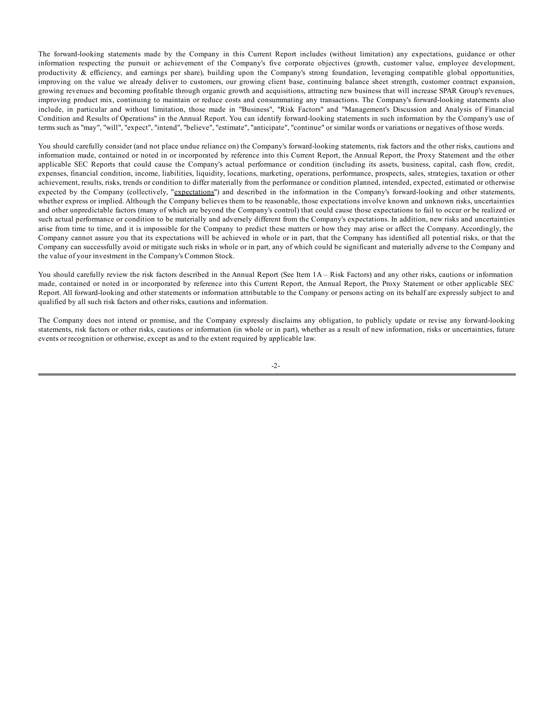The forward-looking statements made by the Company in this Current Report includes (without limitation) any expectations, guidance or other information respecting the pursuit or achievement of the Company's five corporate objectives (growth, customer value, employee development, productivity & efficiency, and earnings per share), building upon the Company's strong foundation, leveraging compatible global opportunities, improving on the value we already deliver to customers, our growing client base, continuing balance sheet strength, customer contract expansion, growing revenues and becoming profitable through organic growth and acquisitions, attracting new business that will increase SPAR Group's revenues, improving product mix, continuing to maintain or reduce costs and consummating any transactions. The Company's forward-looking statements also include, in particular and without limitation, those made in "Business", "Risk Factors" and "Management's Discussion and Analysis of Financial Condition and Results of Operations" in the Annual Report. You can identify forward-looking statements in such information by the Company's use of terms such as "may", "will", "expect", "intend", "believe", "estimate", "anticipate", "continue" or similar words or variations or negatives of those words.

You should carefully consider (and not place undue reliance on) the Company's forward-looking statements, risk factors and the other risks, cautions and information made, contained or noted in or incorporated by reference into this Current Report, the Annual Report, the Proxy Statement and the other applicable SEC Reports that could cause the Company's actual performance or condition (including its assets, business, capital, cash flow, credit, expenses, financial condition, income, liabilities, liquidity, locations, marketing, operations, performance, prospects, sales, strategies, taxation or other achievement, results, risks, trends or condition to differ materially from the performance or condition planned, intended, expected, estimated or otherwise expected by the Company (collectively, "expectations") and described in the information in the Company's forward-looking and other statements, whether express or implied. Although the Company believes them to be reasonable, those expectations involve known and unknown risks, uncertainties and other unpredictable factors (many of which are beyond the Company's control) that could cause those expectations to fail to occur or be realized or such actual performance or condition to be materially and adversely different from the Company's expectations. In addition, new risks and uncertainties arise from time to time, and it is impossible for the Company to predict these matters or how they may arise or affect the Company. Accordingly, the Company cannot assure you that its expectations will be achieved in whole or in part, that the Company has identified all potential risks, or that the Company can successfully avoid or mitigate such risks in whole or in part, any of which could be significant and materially adverse to the Company and the value of your investment in the Company's Common Stock.

You should carefully review the risk factors described in the Annual Report (See Item  $1A - Risk$  Factors) and any other risks, cautions or information made, contained or noted in or incorporated by reference into this Current Report, the Annual Report, the Proxy Statement or other applicable SEC Report. All forward-looking and other statements or information attributable to the Company or persons acting on its behalf are expressly subject to and qualified by all such risk factors and other risks, cautions and information.

The Company does not intend or promise, and the Company expressly disclaims any obligation, to publicly update or revise any forward-looking statements, risk factors or other risks, cautions or information (in whole or in part), whether as a result of new information, risks or uncertainties, future events or recognition or otherwise, except as and to the extent required by applicable law.

-2-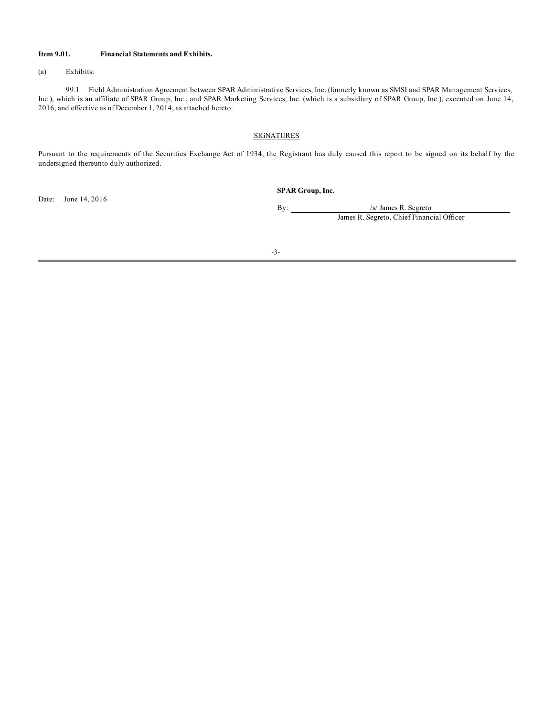## **Item 9.01. Financial Statements and Exhibits.**

(a) Exhibits:

99.1 Field Administration Agreement between SPAR Administrative Services, Inc. (formerly known as SMSI and SPAR Management Services, Inc.), which is an affiliate of SPAR Group, Inc., and SPAR Marketing Services, Inc. (which is a subsidiary of SPAR Group, Inc.), executed on June 14, 2016, and effective as of December 1, 2014, as attached hereto.

## **SIGNATURES**

Pursuant to the requirements of the Securities Exchange Act of 1934, the Registrant has duly caused this report to be signed on its behalf by the undersigned thereunto duly authorized.

Date: June 14, 2016

**SPAR Group, Inc.**

By:  $\frac{1}{s}$  James R. Segreto James R. Segreto, Chief Financial Officer

-3-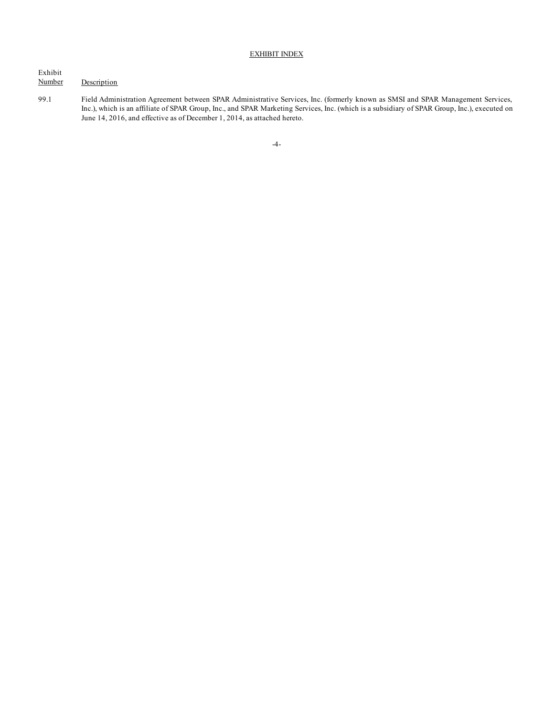# EXHIBIT INDEX

# Exhibit Number Description

99.1 Field Administration Agreement between SPAR Administrative Services, Inc. (formerly known as SMSI and SPAR Management Services, Inc.), which is an affiliate of SPAR Group, Inc., and SPAR Marketing Services, Inc. (which is a subsidiary of SPAR Group, Inc.), executed on June 14, 2016, and effective as of December 1, 2014, as attached hereto.

-4-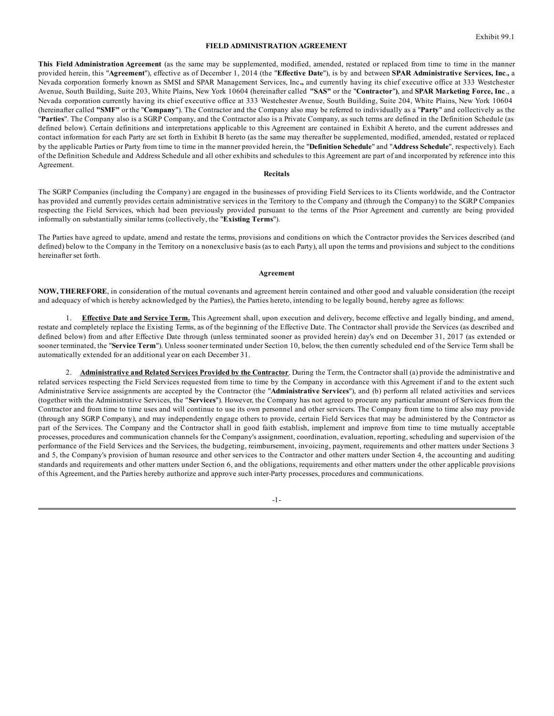### **FIELD ADMINISTRATION AGREEMENT**

**This Field Administration Agreement** (as the same may be supplemented, modified, amended, restated or replaced from time to time in the manner provided herein, this "**Agreement**"), effective as of December 1, 2014 (the "**Effective Date**"), is by and between **SPAR Administrative Services, Inc**.**,** a Nevada corporation formerly known as SMSI and SPAR Management Services, Inc**.,** and currently having its chief executive office at 333 Westchester Avenue, South Building, Suite 203, White Plains, New York 10604 (hereinafter called **"SAS"** or the "**Contractor**"**)**, and **SPAR Marketing Force, Inc**., a Nevada corporation currently having its chief executive office at 333 Westchester Avenue, South Building, Suite 204, White Plains, New York 10604 (hereinafter called **"SMF"** or the "**Company**"). The Contractor and the Company also may be referred to individually as a "**Party**" and collectively as the "**Parties**". The Company also is a SGRP Company, and the Contractor also is a Private Company, as such terms are defined in the Definition Schedule (as defined below). Certain definitions and interpretations applicable to this Agreement are contained in Exhibit A hereto, and the current addresses and contact information for each Party are set forth in Exhibit B hereto (as the same may thereafter be supplemented, modified, amended, restated or replaced by the applicable Parties or Party from time to time in the manner provided herein, the "**Definition Schedule**" and "**Address Schedule**", respectively). Each of the Definition Schedule and Address Schedule and all other exhibits and schedules to this Agreement are part of and incorporated by reference into this Agreement.

### **Recitals**

The SGRP Companies (including the Company) are engaged in the businesses of providing Field Services to its Clients worldwide, and the Contractor has provided and currently provides certain administrative services in the Territory to the Company and (through the Company) to the SGRP Companies respecting the Field Services, which had been previously provided pursuant to the terms of the Prior Agreement and currently are being provided informally on substantially similar terms (collectively, the "**Existing Terms**").

The Parties have agreed to update, amend and restate the terms, provisions and conditions on which the Contractor provides the Services described (and defined) below to the Company in the Territory on a nonexclusive basis (as to each Party), all upon the terms and provisions and subject to the conditions hereinafter set forth.

#### **Agreement**

**NOW, THEREFORE**, in consideration of the mutual covenants and agreement herein contained and other good and valuable consideration (the receipt and adequacy of which is hereby acknowledged by the Parties), the Parties hereto, intending to be legally bound, hereby agree as follows:

1. **Effective Date and Service Term.** This Agreement shall, upon execution and delivery, become effective and legally binding, and amend, restate and completely replace the Existing Terms, as of the beginning of the Effective Date. The Contractor shall provide the Services (as described and defined below) from and after Effective Date through (unless terminated sooner as provided herein) day's end on December 31, 2017 (as extended or sooner terminated, the "**Service Term**"). Unless sooner terminated under Section 10, below, the then currently scheduled end of the Service Term shall be automatically extended for an additional year on each December 31.

2. **Administrative and Related Services Provided by the Contractor**. During the Term, the Contractor shall (a) provide the administrative and related services respecting the Field Services requested from time to time by the Company in accordance with this Agreement if and to the extent such Administrative Service assignments are accepted by the Contractor (the "**Administrative Services**"), and (b) perform all related activities and services (together with the Administrative Services, the "**Services**"). However, the Company has not agreed to procure any particular amount of Services from the Contractor and from time to time uses and will continue to use its own personnel and other servicers. The Company from time to time also may provide (through any SGRP Company), and may independently engage others to provide, certain Field Services that may be administered by the Contractor as part of the Services. The Company and the Contractor shall in good faith establish, implement and improve from time to time mutually acceptable processes, procedures and communication channels for the Company's assignment, coordination, evaluation, reporting, scheduling and supervision of the performance of the Field Services and the Services, the budgeting, reimbursement, invoicing, payment, requirements and other matters under Sections 3 and 5, the Company's provision of human resource and other services to the Contractor and other matters under Section 4, the accounting and auditing standards and requirements and other matters under Section 6, and the obligations, requirements and other matters under the other applicable provisions of this Agreement, and the Parties hereby authorize and approve such inter-Party processes, procedures and communications.

#### -1-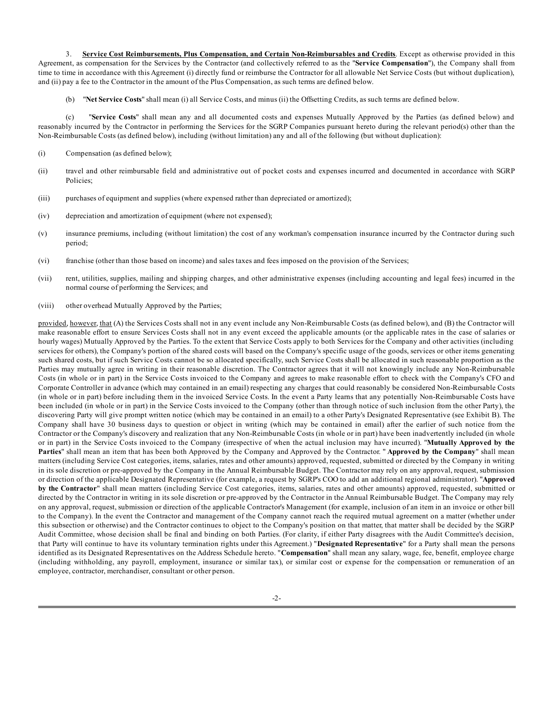3. **Service Cost Reimbursements, Plus Compensation, and Certain Non-Reimbursables and Credits**. Except as otherwise provided in this Agreement, as compensation for the Services by the Contractor (and collectively referred to as the "**Service Compensation**"), the Company shall from time to time in accordance with this Agreement (i) directly fund or reimburse the Contractor for all allowable Net Service Costs (but without duplication), and (ii) pay a fee to the Contractor in the amount of the Plus Compensation, as such terms are defined below.

(b) "**Net Service Costs**" shall mean (i) all Service Costs, and minus (ii) the Offsetting Credits, as such terms are defined below.

(c) "**Service Costs**" shall mean any and all documented costs and expenses Mutually Approved by the Parties (as defined below) and reasonably incurred by the Contractor in performing the Services for the SGRP Companies pursuant hereto during the relevant period(s) other than the Non-Reimbursable Costs (as defined below), including (without limitation) any and all of the following (but without duplication):

- (i) Compensation (as defined below);
- (ii) travel and other reimbursable field and administrative out of pocket costs and expenses incurred and documented in accordance with SGRP Policies;
- (iii) purchases of equipment and supplies (where expensed rather than depreciated or amortized);
- (iv) depreciation and amortization of equipment (where not expensed);
- (v) insurance premiums, including (without limitation) the cost of any workman's compensation insurance incurred by the Contractor during such period;
- (vi) franchise (other than those based on income) and sales taxes and fees imposed on the provision of the Services;
- (vii) rent, utilities, supplies, mailing and shipping charges, and other administrative expenses (including accounting and legal fees) incurred in the normal course of performing the Services; and
- (viii) other overhead Mutually Approved by the Parties;

provided, however, that (A) the Services Costs shall not in any event include any Non-Reimbursable Costs (as defined below), and (B) the Contractor will make reasonable effort to ensure Services Costs shall not in any event exceed the applicable amounts (or the applicable rates in the case of salaries or hourly wages) Mutually Approved by the Parties. To the extent that Service Costs apply to both Services for the Company and other activities (including services for others), the Company's portion of the shared costs will based on the Company's specific usage of the goods, services or other items generating such shared costs, but if such Service Costs cannot be so allocated specifically, such Service Costs shall be allocated in such reasonable proportion as the Parties may mutually agree in writing in their reasonable discretion. The Contractor agrees that it will not knowingly include any Non-Reimbursable Costs (in whole or in part) in the Service Costs invoiced to the Company and agrees to make reasonable effort to check with the Company's CFO and Corporate Controller in advance (which may contained in an email) respecting any charges that could reasonably be considered Non-Reimbursable Costs (in whole or in part) before including them in the invoiced Service Costs. In the event a Party learns that any potentially Non-Reimbursable Costs have been included (in whole or in part) in the Service Costs invoiced to the Company (other than through notice of such inclusion from the other Party), the discovering Party will give prompt written notice (which may be contained in an email) to a other Party's Designated Representative (see Exhibit B). The Company shall have 30 business days to question or object in writing (which may be contained in email) after the earlier of such notice from the Contractor or the Company's discovery and realization that any Non-Reimbursable Costs (in whole or in part) have been inadvertently included (in whole or in part) in the Service Costs invoiced to the Company (irrespective of when the actual inclusion may have incurred). "**Mutually Approved by the Parties**" shall mean an item that has been both Approved by the Company and Approved by the Contractor. " **Approved by the Company**" shall mean matters (including Service Cost categories, items, salaries, rates and other amounts) approved, requested, submitted or directed by the Company in writing in its sole discretion or pre-approved by the Company in the Annual Reimbursable Budget. The Contractor may rely on any approval, request, submission or direction of the applicable Designated Representative (for example, a request by SGRP's COO to add an additional regional administrator). "**Approved by the Contractor**" shall mean matters (including Service Cost categories, items, salaries, rates and other amounts) approved, requested, submitted or directed by the Contractor in writing in its sole discretion or pre-approved by the Contractor in the Annual Reimbursable Budget. The Company may rely on any approval, request, submission or direction of the applicable Contractor's Management (for example, inclusion of an item in an invoice or other bill to the Company). In the event the Contractor and management of the Company cannot reach the required mutual agreement on a matter (whether under this subsection or otherwise) and the Contractor continues to object to the Company's position on that matter, that matter shall be decided by the SGRP Audit Committee, whose decision shall be final and binding on both Parties. (For clarity, if either Party disagrees with the Audit Committee's decision, that Party will continue to have its voluntary termination rights under this Agreement.) "**Designated Representative**" for a Party shall mean the persons identified as its Designated Representatives on the Address Schedule hereto. "**Compensation**" shall mean any salary, wage, fee, benefit, employee charge (including withholding, any payroll, employment, insurance or similar tax), or similar cost or expense for the compensation or remuneration of an employee, contractor, merchandiser, consultant or other person.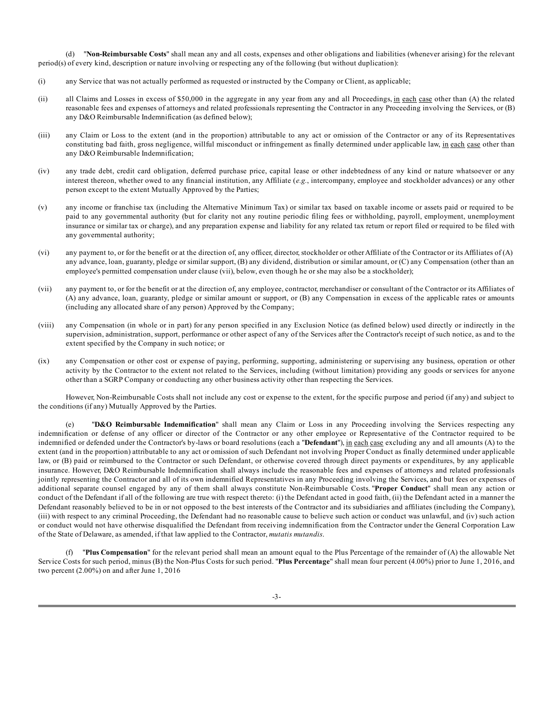(d) "**Non-Reimbursable Costs**" shall mean any and all costs, expenses and other obligations and liabilities (whenever arising) for the relevant period(s) of every kind, description or nature involving or respecting any of the following (but without duplication):

- (i) any Service that was not actually performed as requested or instructed by the Company or Client, as applicable;
- (ii) all Claims and Losses in excess of \$50,000 in the aggregate in any year from any and all Proceedings, in each case other than (A) the related reasonable fees and expenses of attorneys and related professionals representing the Contractor in any Proceeding involving the Services, or (B) any D&O Reimbursable Indemnification (as defined below);
- (iii) any Claim or Loss to the extent (and in the proportion) attributable to any act or omission of the Contractor or any of its Representatives constituting bad faith, gross negligence, willful misconduct or infringement as finally determined under applicable law, in each case other than any D&O Reimbursable Indemnification;
- (iv) any trade debt, credit card obligation, deferred purchase price, capital lease or other indebtedness of any kind or nature whatsoever or any interest thereon, whether owed to any financial institution, any Affiliate (*e.g.*, intercompany, employee and stockholder advances) or any other person except to the extent Mutually Approved by the Parties;
- (v) any income or franchise tax (including the Alternative Minimum Tax) or similar tax based on taxable income or assets paid or required to be paid to any governmental authority (but for clarity not any routine periodic filing fees or withholding, payroll, employment, unemployment insurance or similar tax or charge), and any preparation expense and liability for any related tax return or report filed or required to be filed with any governmental authority;
- (vi) any payment to, or for the benefit or at the direction of, any officer, director, stockholder or otherAffiliate of the Contractor or its Affiliates of (A) any advance, loan, guaranty, pledge or similar support, (B) any dividend, distribution or similar amount, or (C) any Compensation (other than an employee's permitted compensation under clause (vii), below, even though he or she may also be a stockholder);
- (vii) any payment to, or for the benefit or at the direction of, any employee, contractor, merchandiser or consultant of the Contractor or its Affiliates of (A) any advance, loan, guaranty, pledge or similar amount or support, or (B) any Compensation in excess of the applicable rates or amounts (including any allocated share of any person) Approved by the Company;
- (viii) any Compensation (in whole or in part) for any person specified in any Exclusion Notice (as defined below) used directly or indirectly in the supervision, administration, support, performance or other aspect of any of the Services after the Contractor's receipt of such notice, as and to the extent specified by the Company in such notice; or
- (ix) any Compensation or other cost or expense of paying, performing, supporting, administering or supervising any business, operation or other activity by the Contractor to the extent not related to the Services, including (without limitation) providing any goods or services for anyone other than a SGRP Company or conducting any other business activity other than respecting the Services.

However, Non-Reimbursable Costs shall not include any cost or expense to the extent, for the specific purpose and period (if any) and subject to the conditions (if any) Mutually Approved by the Parties.

(e) "**D&O Reimbursable Indemnification**" shall mean any Claim or Loss in any Proceeding involving the Services respecting any indemnification or defense of any officer or director of the Contractor or any other employee or Representative of the Contractor required to be indemnified or defended under the Contractor's by-laws or board resolutions (each a "Defendant"), in each case excluding any and all amounts (A) to the extent (and in the proportion) attributable to any act or omission of such Defendant not involving Proper Conduct as finally determined under applicable law, or (B) paid or reimbursed to the Contractor or such Defendant, or otherwise covered through direct payments or expenditures, by any applicable insurance. However, D&O Reimbursable Indemnification shall always include the reasonable fees and expenses of attorneys and related professionals jointly representing the Contractor and all of its own indemnified Representatives in any Proceeding involving the Services, and but fees or expenses of additional separate counsel engaged by any of them shall always constitute Non-Reimbursable Costs. "**Proper Conduct**" shall mean any action or conduct of the Defendant if all of the following are true with respect thereto: (i) the Defendant acted in good faith, (ii) the Defendant acted in a manner the Defendant reasonably believed to be in or not opposed to the best interests of the Contractor and its subsidiaries and affiliates (including the Company), (iii) with respect to any criminal Proceeding, the Defendant had no reasonable cause to believe such action or conduct was unlawful, and (iv) such action or conduct would not have otherwise disqualified the Defendant from receiving indemnification from the Contractor under the General Corporation Law of the State of Delaware, as amended, if that law applied to the Contractor, *mutatis mutandis*.

(f) "**Plus Compensation**" for the relevant period shall mean an amount equal to the Plus Percentage of the remainder of (A) the allowable Net Service Costs for such period, minus (B) the Non-Plus Costs for such period. "**Plus Percentage**" shall mean four percent (4.00%) prior to June 1, 2016, and two percent (2.00%) on and after June 1, 2016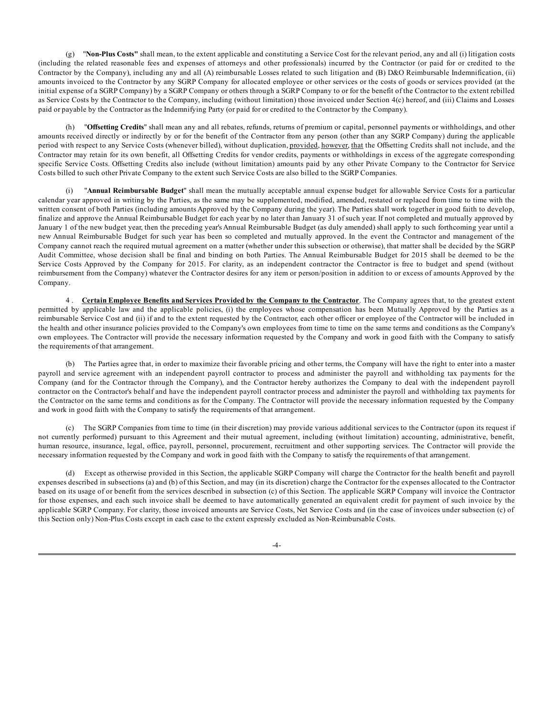(g) "**Non-Plus Costs"** shall mean, to the extent applicable and constituting a Service Cost for the relevant period, any and all (i) litigation costs (including the related reasonable fees and expenses of attorneys and other professionals) incurred by the Contractor (or paid for or credited to the Contractor by the Company), including any and all (A) reimbursable Losses related to such litigation and (B) D&O Reimbursable Indemnification, (ii) amounts invoiced to the Contractor by any SGRP Company for allocated employee or other services or the costs of goods or services provided (at the initial expense of a SGRP Company) by a SGRP Company or others through a SGRP Company to or for the benefit of the Contractor to the extent rebilled as Service Costs by the Contractor to the Company, including (without limitation) those invoiced under Section 4(c) hereof, and (iii) Claims and Losses paid or payable by the Contractor as the Indemnifying Party (or paid for or credited to the Contractor by the Company).

(h) "**Offsetting Credits**" shall mean any and all rebates, refunds, returns of premium or capital, personnel payments or withholdings, and other amounts received directly or indirectly by or for the benefit of the Contractor from any person (other than any SGRP Company) during the applicable period with respect to any Service Costs (whenever billed), without duplication, provided, however, that the Offsetting Credits shall not include, and the Contractor may retain for its own benefit, all Offsetting Credits for vendor credits, payments or withholdings in excess of the aggregate corresponding specific Service Costs. Offsetting Credits also include (without limitation) amounts paid by any other Private Company to the Contractor for Service Costs billed to such other Private Company to the extent such Service Costs are also billed to the SGRP Companies.

(i) "**Annual Reimbursable Budget**" shall mean the mutually acceptable annual expense budget for allowable Service Costs for a particular calendar year approved in writing by the Parties, as the same may be supplemented, modified, amended, restated or replaced from time to time with the written consent of both Parties (including amounts Approved by the Company during the year). The Parties shall work together in good faith to develop, finalize and approve the Annual Reimbursable Budget for each year by no later than January 31 of such year. If not completed and mutually approved by January 1 of the new budget year, then the preceding year's Annual Reimbursable Budget (as duly amended) shall apply to such forthcoming year until a new Annual Reimbursable Budget for such year has been so completed and mutually approved. In the event the Contractor and management of the Company cannot reach the required mutual agreement on a matter (whether under this subsection or otherwise), that matter shall be decided by the SGRP Audit Committee, whose decision shall be final and binding on both Parties. The Annual Reimbursable Budget for 2015 shall be deemed to be the Service Costs Approved by the Company for 2015. For clarity, as an independent contractor the Contractor is free to budget and spend (without reimbursement from the Company) whatever the Contractor desires for any item or person/position in addition to or excess of amounts Approved by the Company.

4 . **Certain Employee Benefits and Services Provided by the Company to the Contractor**. The Company agrees that, to the greatest extent permitted by applicable law and the applicable policies, (i) the employees whose compensation has been Mutually Approved by the Parties as a reimbursable Service Cost and (ii) if and to the extent requested by the Contractor, each other officer or employee of the Contractor will be included in the health and other insurance policies provided to the Company's own employees from time to time on the same terms and conditions as the Company's own employees. The Contractor will provide the necessary information requested by the Company and work in good faith with the Company to satisfy the requirements of that arrangement.

(b) The Parties agree that, in order to maximize their favorable pricing and other terms, the Company will have the right to enter into a master payroll and service agreement with an independent payroll contractor to process and administer the payroll and withholding tax payments for the Company (and for the Contractor through the Company), and the Contractor hereby authorizes the Company to deal with the independent payroll contractor on the Contractor's behalf and have the independent payroll contractor process and administer the payroll and withholding tax payments for the Contractor on the same terms and conditions as for the Company. The Contractor will provide the necessary information requested by the Company and work in good faith with the Company to satisfy the requirements of that arrangement.

(c) The SGRP Companies from time to time (in their discretion) may provide various additional services to the Contractor (upon its request if not currently performed) pursuant to this Agreement and their mutual agreement, including (without limitation) accounting, administrative, benefit, human resource, insurance, legal, office, payroll, personnel, procurement, recruitment and other supporting services. The Contractor will provide the necessary information requested by the Company and work in good faith with the Company to satisfy the requirements of that arrangement.

(d) Except as otherwise provided in this Section, the applicable SGRP Company will charge the Contractor for the health benefit and payroll expenses described in subsections (a) and (b) of this Section, and may (in its discretion) charge the Contractor for the expenses allocated to the Contractor based on its usage of or benefit from the services described in subsection (c) of this Section. The applicable SGRP Company will invoice the Contractor for those expenses, and each such invoice shall be deemed to have automatically generated an equivalent credit for payment of such invoice by the applicable SGRP Company. For clarity, those invoiced amounts are Service Costs, Net Service Costs and (in the case of invoices under subsection (c) of this Section only) Non-Plus Costs except in each case to the extent expressly excluded as Non-Reimbursable Costs.

 $-4-$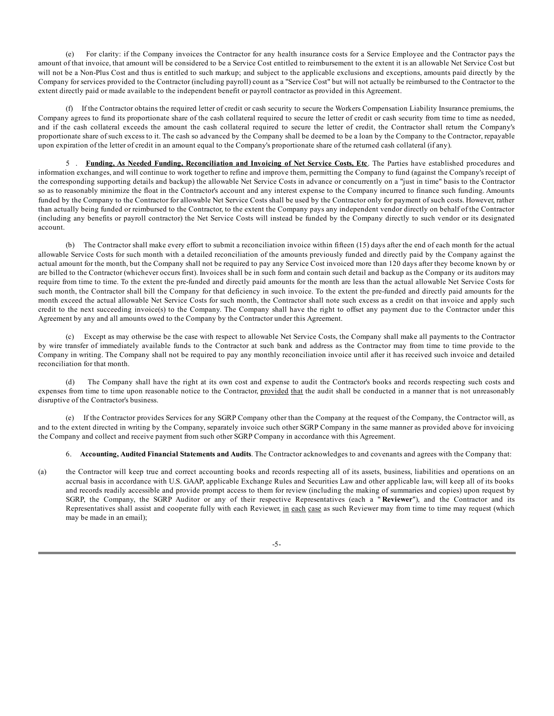For clarity: if the Company invoices the Contractor for any health insurance costs for a Service Employee and the Contractor pays the amount of that invoice, that amount will be considered to be a Service Cost entitled to reimbursement to the extent it is an allowable Net Service Cost but will not be a Non-Plus Cost and thus is entitled to such markup; and subject to the applicable exclusions and exceptions, amounts paid directly by the Company for services provided to the Contractor (including payroll) count as a "Service Cost" but will not actually be reimbursed to the Contractor to the extent directly paid or made available to the independent benefit or payroll contractor as provided in this Agreement.

(f) If the Contractor obtains the required letter of credit or cash security to secure the Workers Compensation Liability Insurance premiums, the Company agrees to fund its proportionate share of the cash collateral required to secure the letter of credit or cash security from time to time as needed, and if the cash collateral exceeds the amount the cash collateral required to secure the letter of credit, the Contractor shall return the Company's proportionate share of such excess to it. The cash so advanced by the Company shall be deemed to be a loan by the Company to the Contractor, repayable upon expiration of the letter of credit in an amount equal to the Company's proportionate share of the returned cash collateral (if any).

5 . **Funding, As Needed Funding, Reconciliation and Invoicing of Net Service Costs, Etc**. The Parties have established procedures and information exchanges, and will continue to work together to refine and improve them, permitting the Company to fund (against the Company's receipt of the corresponding supporting details and backup) the allowable Net Service Costs in advance or concurrently on a "just in time" basis to the Contractor so as to reasonably minimize the float in the Contractor's account and any interest expense to the Company incurred to finance such funding. Amounts funded by the Company to the Contractor for allowable Net Service Costs shall be used by the Contractor only for payment of such costs. However, rather than actually being funded or reimbursed to the Contractor, to the extent the Company pays any independent vendor directly on behalf of the Contractor (including any benefits or payroll contractor) the Net Service Costs will instead be funded by the Company directly to such vendor or its designated account.

(b) The Contractor shall make every effort to submit a reconciliation invoice within fifteen (15) days after the end of each month for the actual allowable Service Costs for such month with a detailed reconciliation of the amounts previously funded and directly paid by the Company against the actual amount for the month, but the Company shall not be required to pay any Service Cost invoiced more than 120 days after they become known by or are billed to the Contractor (whichever occurs first). Invoices shall be in such form and contain such detail and backup as the Company or its auditors may require from time to time. To the extent the pre-funded and directly paid amounts for the month are less than the actual allowable Net Service Costs for such month, the Contractor shall bill the Company for that deficiency in such invoice. To the extent the pre-funded and directly paid amounts for the month exceed the actual allowable Net Service Costs for such month, the Contractor shall note such excess as a credit on that invoice and apply such credit to the next succeeding invoice(s) to the Company. The Company shall have the right to offset any payment due to the Contractor under this Agreement by any and all amounts owed to the Company by the Contractor under this Agreement.

(c) Except as may otherwise be the case with respect to allowable Net Service Costs, the Company shall make all payments to the Contractor by wire transfer of immediately available funds to the Contractor at such bank and address as the Contractor may from time to time provide to the Company in writing. The Company shall not be required to pay any monthly reconciliation invoice until after it has received such invoice and detailed reconciliation for that month.

(d) The Company shall have the right at its own cost and expense to audit the Contractor's books and records respecting such costs and expenses from time to time upon reasonable notice to the Contractor, provided that the audit shall be conducted in a manner that is not unreasonably disruptive of the Contractor's business.

(e) If the Contractor provides Services for any SGRP Company other than the Company at the request of the Company, the Contractor will, as and to the extent directed in writing by the Company, separately invoice such other SGRP Company in the same manner as provided above for invoicing the Company and collect and receive payment from such other SGRP Company in accordance with this Agreement.

## 6. **Accounting, Audited Financial Statements and Audits**. The Contractor acknowledges to and covenants and agrees with the Company that:

(a) the Contractor will keep true and correct accounting books and records respecting all of its assets, business, liabilities and operations on an accrual basis in accordance with U.S. GAAP, applicable Exchange Rules and Securities Law and other applicable law, will keep all of its books and records readily accessible and provide prompt access to them for review (including the making of summaries and copies) upon request by SGRP, the Company, the SGRP Auditor or any of their respective Representatives (each a " **Reviewer**"), and the Contractor and its Representatives shall assist and cooperate fully with each Reviewer, in each case as such Reviewer may from time to time may request (which may be made in an email);

-5-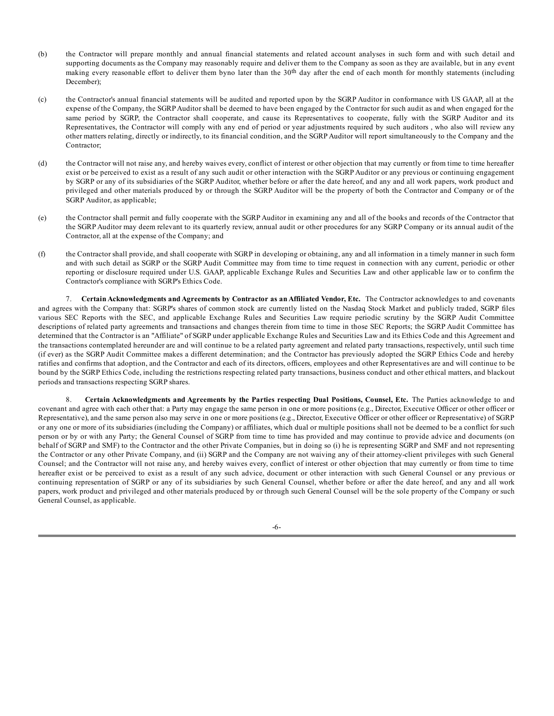- (b) the Contractor will prepare monthly and annual financial statements and related account analyses in such form and with such detail and supporting documents as the Company may reasonably require and deliver them to the Company as soon as they are available, but in any event making every reasonable effort to deliver them byno later than the 30<sup>th</sup> day after the end of each month for monthly statements (including December);
- (c) the Contractor's annual financial statements will be audited and reported upon by the SGRP Auditor in conformance with US GAAP, all at the expense of the Company, the SGRP Auditor shall be deemed to have been engaged by the Contractor for such audit as and when engaged for the same period by SGRP, the Contractor shall cooperate, and cause its Representatives to cooperate, fully with the SGRP Auditor and its Representatives, the Contractor will comply with any end of period or year adjustments required by such auditors , who also will review any other matters relating, directly or indirectly, to its financial condition, and the SGRP Auditor will report simultaneously to the Company and the Contractor;
- (d) the Contractor will not raise any, and hereby waives every, conflict of interest or other objection that may currently or from time to time hereafter exist or be perceived to exist as a result of any such audit or other interaction with the SGRP Auditor or any previous or continuing engagement by SGRP or any of its subsidiaries of the SGRP Auditor, whether before or after the date hereof, and any and all work papers, work product and privileged and other materials produced by or through the SGRP Auditor will be the property of both the Contractor and Company or of the SGRP Auditor, as applicable;
- (e) the Contractor shall permit and fully cooperate with the SGRP Auditor in examining any and all of the books and records of the Contractor that the SGRP Auditor may deem relevant to its quarterly review, annual audit or other procedures for any SGRP Company or its annual audit of the Contractor, all at the expense of the Company; and
- (f) the Contractor shall provide, and shall cooperate with SGRP in developing or obtaining, any and all information in a timely manner in such form and with such detail as SGRP or the SGRP Audit Committee may from time to time request in connection with any current, periodic or other reporting or disclosure required under U.S. GAAP, applicable Exchange Rules and Securities Law and other applicable law or to confirm the Contractor's compliance with SGRP's Ethics Code.

7. **Certain Acknowledgments and Agreements by Contractor as an Affiliated Vendor, Etc.** The Contractor acknowledges to and covenants and agrees with the Company that: SGRP's shares of common stock are currently listed on the Nasdaq Stock Market and publicly traded, SGRP files various SEC Reports with the SEC, and applicable Exchange Rules and Securities Law require periodic scrutiny by the SGRP Audit Committee descriptions of related party agreements and transactions and changes therein from time to time in those SEC Reports; the SGRP Audit Committee has determined that the Contractor is an "Affiliate" of SGRP under applicable Exchange Rules and Securities Law and its Ethics Code and this Agreement and the transactions contemplated hereunder are and will continue to be a related party agreement and related party transactions, respectively, until such time (if ever) as the SGRP Audit Committee makes a different determination; and the Contractor has previously adopted the SGRP Ethics Code and hereby ratifies and confirms that adoption, and the Contractor and each of its directors, officers, employees and other Representatives are and will continue to be bound by the SGRP Ethics Code, including the restrictions respecting related party transactions, business conduct and other ethical matters, and blackout periods and transactions respecting SGRP shares.

8. **Certain Acknowledgments and Agreements by the Parties respecting Dual Positions, Counsel, Etc.** The Parties acknowledge to and covenant and agree with each other that: a Party may engage the same person in one or more positions (e.g., Director, Executive Officer or other officer or Representative), and the same person also may serve in one or more positions (e.g., Director, Executive Officer or other officer or Representative) of SGRP or any one or more of its subsidiaries (including the Company) or affiliates, which dual or multiple positions shall not be deemed to be a conflict for such person or by or with any Party; the General Counsel of SGRP from time to time has provided and may continue to provide advice and documents (on behalf of SGRP and SMF) to the Contractor and the other Private Companies, but in doing so (i) he is representing SGRP and SMF and not representing the Contractor or any other Private Company, and (ii) SGRP and the Company are not waiving any of their attorney-client privileges with such General Counsel; and the Contractor will not raise any, and hereby waives every, conflict of interest or other objection that may currently or from time to time hereafter exist or be perceived to exist as a result of any such advice, document or other interaction with such General Counsel or any previous or continuing representation of SGRP or any of its subsidiaries by such General Counsel, whether before or after the date hereof, and any and all work papers, work product and privileged and other materials produced by or through such General Counsel will be the sole property of the Company or such General Counsel, as applicable.

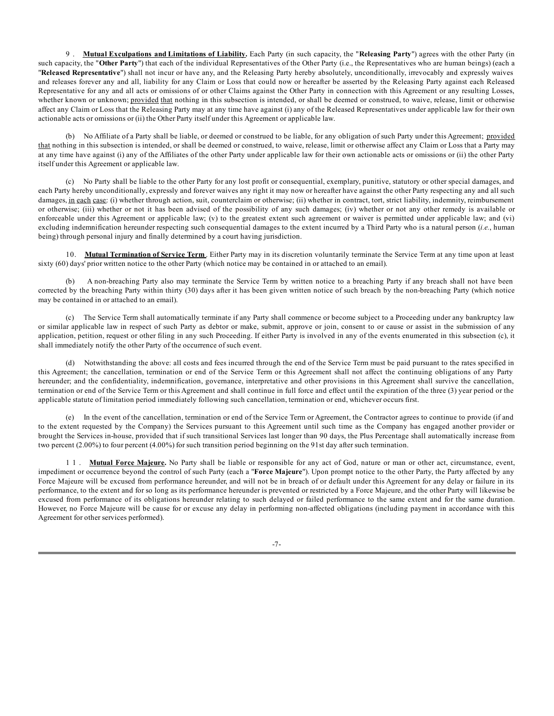9 . **Mutual Exculpations and Limitations of Liability.** Each Party (in such capacity, the "**Releasing Party**") agrees with the other Party (in such capacity, the "**Other Party**") that each of the individual Representatives of the Other Party (i.e., the Representatives who are human beings) (each a "**Released Representative**") shall not incur or have any, and the Releasing Party hereby absolutely, unconditionally, irrevocably and expressly waives and releases forever any and all, liability for any Claim or Loss that could now or hereafter be asserted by the Releasing Party against each Released Representative for any and all acts or omissions of or other Claims against the Other Party in connection with this Agreement or any resulting Losses, whether known or unknown; provided that nothing in this subsection is intended, or shall be deemed or construed, to waive, release, limit or otherwise affect any Claim or Loss that the Releasing Party may at any time have against (i) any of the Released Representatives under applicable law for their own actionable acts or omissions or (ii) the Other Party itself under this Agreement or applicable law.

(b) No Affiliate of a Party shall be liable, or deemed or construed to be liable, for any obligation of such Party under this Agreement; provided that nothing in this subsection is intended, or shall be deemed or construed, to waive, release, limit or otherwise affect any Claim or Loss that a Party may at any time have against (i) any of the Affiliates of the other Party under applicable law for their own actionable acts or omissions or (ii) the other Party itself under this Agreement or applicable law.

(c) No Party shall be liable to the other Party for any lost profit or consequential, exemplary, punitive, statutory or other special damages, and each Party hereby unconditionally, expressly and forever waives any right it may now or hereafter have against the other Party respecting any and all such damages, in each case: (i) whether through action, suit, counterclaim or otherwise; (ii) whether in contract, tort, strict liability, indemnity, reimbursement or otherwise; (iii) whether or not it has been advised of the possibility of any such damages; (iv) whether or not any other remedy is available or enforceable under this Agreement or applicable law; (v) to the greatest extent such agreement or waiver is permitted under applicable law; and (vi) excluding indemnification hereunder respecting such consequential damages to the extent incurred by a Third Party who is a natural person (*i.e.*, human being) through personal injury and finally determined by a court having jurisdiction.

10. **Mutual Termination of Service Term** . Either Party may in its discretion voluntarily terminate the Service Term at any time upon at least sixty (60) days' prior written notice to the other Party (which notice may be contained in or attached to an email).

(b) A non-breaching Party also may terminate the Service Term by written notice to a breaching Party if any breach shall not have been corrected by the breaching Party within thirty (30) days after it has been given written notice of such breach by the non-breaching Party (which notice may be contained in or attached to an email).

(c) The Service Term shall automatically terminate if any Party shall commence or become subject to a Proceeding under any bankruptcy law or similar applicable law in respect of such Party as debtor or make, submit, approve or join, consent to or cause or assist in the submission of any application, petition, request or other filing in any such Proceeding. If either Party is involved in any of the events enumerated in this subsection (c), it shall immediately notify the other Party of the occurrence of such event.

(d) Notwithstanding the above: all costs and fees incurred through the end of the Service Term must be paid pursuant to the rates specified in this Agreement; the cancellation, termination or end of the Service Term or this Agreement shall not affect the continuing obligations of any Party hereunder; and the confidentiality, indemnification, governance, interpretative and other provisions in this Agreement shall survive the cancellation, termination or end of the Service Term or this Agreement and shall continue in full force and effect until the expiration of the three (3) year period or the applicable statute of limitation period immediately following such cancellation, termination or end, whichever occurs first.

(e) In the event of the cancellation, termination or end of the Service Term or Agreement, the Contractor agrees to continue to provide (if and to the extent requested by the Company) the Services pursuant to this Agreement until such time as the Company has engaged another provider or brought the Services in-house, provided that if such transitional Services last longer than 90 days, the Plus Percentage shall automatically increase from two percent (2.00%) to four percent (4.00%) for such transition period beginning on the 91st day after such termination.

1 1 . **Mutual Force Majeure.** No Party shall be liable or responsible for any act of God, nature or man or other act, circumstance, event, impediment or occurrence beyond the control of such Party (each a "**Force Majeure**"). Upon prompt notice to the other Party, the Party affected by any Force Majeure will be excused from performance hereunder, and will not be in breach of or default under this Agreement for any delay or failure in its performance, to the extent and for so long as its performance hereunder is prevented or restricted by a Force Majeure, and the other Party will likewise be excused from performance of its obligations hereunder relating to such delayed or failed performance to the same extent and for the same duration. However, no Force Majeure will be cause for or excuse any delay in performing non-affected obligations (including payment in accordance with this Agreement for other services performed).

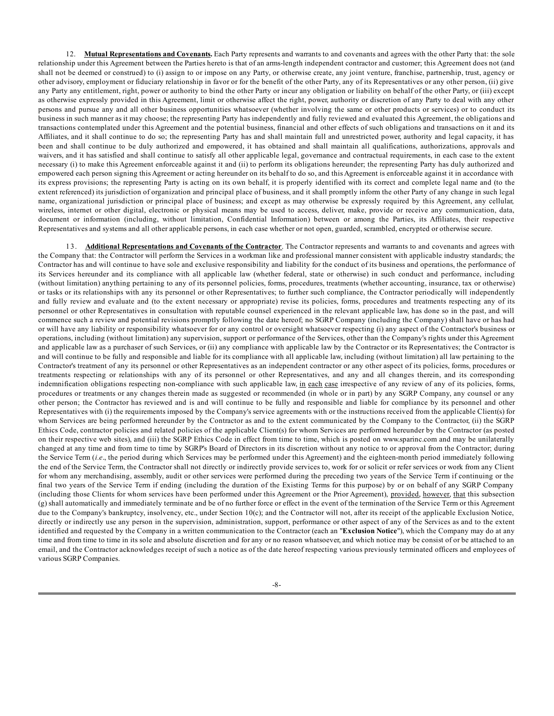12. **Mutual Representations and Covenants.** Each Party represents and warrants to and covenants and agrees with the other Party that: the sole relationship under this Agreement between the Parties hereto is that of an arms-length independent contractor and customer; this Agreement does not (and shall not be deemed or construed) to (i) assign to or impose on any Party, or otherwise create, any joint venture, franchise, partnership, trust, agency or other advisory, employment or fiduciary relationship in favor or for the benefit of the other Party, any of its Representatives or any other person, (ii) give any Party any entitlement, right, power or authority to bind the other Party or incur any obligation or liability on behalf of the other Party, or (iii) except as otherwise expressly provided in this Agreement, limit or otherwise affect the right, power, authority or discretion of any Party to deal with any other persons and pursue any and all other business opportunities whatsoever (whether involving the same or other products or services) or to conduct its business in such manner as it may choose; the representing Party has independently and fully reviewed and evaluated this Agreement, the obligations and transactions contemplated under this Agreement and the potential business, financial and other effects of such obligations and transactions on it and its Affiliates, and it shall continue to do so; the representing Party has and shall maintain full and unrestricted power, authority and legal capacity, it has been and shall continue to be duly authorized and empowered, it has obtained and shall maintain all qualifications, authorizations, approvals and waivers, and it has satisfied and shall continue to satisfy all other applicable legal, governance and contractual requirements, in each case to the extent necessary (i) to make this Agreement enforceable against it and (ii) to perform its obligations hereunder; the representing Party has duly authorized and empowered each person signing this Agreement or acting hereunder on its behalf to do so, and this Agreement is enforceable against it in accordance with its express provisions; the representing Party is acting on its own behalf, it is properly identified with its correct and complete legal name and (to the extent referenced) its jurisdiction of organization and principal place of business, and it shall promptly inform the other Party of any change in such legal name, organizational jurisdiction or principal place of business; and except as may otherwise be expressly required by this Agreement, any cellular, wireless, internet or other digital, electronic or physical means may be used to access, deliver, make, provide or receive any communication, data, document or information (including, without limitation, Confidential Information) between or among the Parties, its Affiliates, their respective Representatives and systems and all other applicable persons, in each case whether or not open, guarded, scrambled, encrypted or otherwise secure.

13. **Additional Representations and Covenants of the Contractor**. The Contractor represents and warrants to and covenants and agrees with the Company that: the Contractor will perform the Services in a workman like and professional manner consistent with applicable industry standards; the Contractor has and will continue to have sole and exclusive responsibility and liability for the conduct of its business and operations, the performance of its Services hereunder and its compliance with all applicable law (whether federal, state or otherwise) in such conduct and performance, including (without limitation) anything pertaining to any of its personnel policies, forms, procedures, treatments (whether accounting, insurance, tax or otherwise) or tasks or its relationships with any its personnel or other Representatives; to further such compliance, the Contractor periodically will independently and fully review and evaluate and (to the extent necessary or appropriate) revise its policies, forms, procedures and treatments respecting any of its personnel or other Representatives in consultation with reputable counsel experienced in the relevant applicable law, has done so in the past, and will commence such a review and potential revisions promptly following the date hereof; no SGRP Company (including the Company) shall have or has had or will have any liability or responsibility whatsoever for or any control or oversight whatsoever respecting (i) any aspect of the Contractor's business or operations, including (without limitation) any supervision, support or performance of the Services, other than the Company's rights under this Agreement and applicable law as a purchaser of such Services, or (ii) any compliance with applicable law by the Contractor or its Representatives; the Contractor is and will continue to be fully and responsible and liable for its compliance with all applicable law, including (without limitation) all law pertaining to the Contractor's treatment of any its personnel or other Representatives as an independent contractor or any other aspect of its policies, forms, procedures or treatments respecting or relationships with any of its personnel or other Representatives, and any and all changes therein, and its corresponding indemnification obligations respecting non-compliance with such applicable law, in each case irrespective of any review of any of its policies, forms, procedures or treatments or any changes therein made as suggested or recommended (in whole or in part) by any SGRP Company, any counsel or any other person; the Contractor has reviewed and is and will continue to be fully and responsible and liable for compliance by its personnel and other Representatives with (i) the requirements imposed by the Company's service agreements with or the instructions received from the applicable Client(s) for whom Services are being performed hereunder by the Contractor as and to the extent communicated by the Company to the Contractor, (ii) the SGRP Ethics Code, contractor policies and related policies of the applicable Client(s) for whom Services are performed hereunder by the Contractor (as posted on their respective web sites), and (iii) the SGRP Ethics Code in effect from time to time, which is posted on www.sparinc.com and may be unilaterally changed at any time and from time to time by SGRP's Board of Directors in its discretion without any notice to or approval from the Contractor; during the Service Term (*i.e*., the period during which Services may be performed under this Agreement) and the eighteen-month period immediately following the end of the Service Term, the Contractor shall not directly or indirectly provide services to, work for or solicit or refer services or work from any Client for whom any merchandising, assembly, audit or other services were performed during the preceding two years of the Service Term if continuing or the final two years of the Service Term if ending (including the duration of the Existing Terms for this purpose) by or on behalf of any SGRP Company (including those Clients for whom services have been performed under this Agreement or the Prior Agreement), provided, however, that this subsection (g) shall automatically and immediately terminate and be of no further force or effect in the event of the termination of the Service Term or this Agreement due to the Company's bankruptcy, insolvency, etc., under Section 10(c); and the Contractor will not, after its receipt of the applicable Exclusion Notice, directly or indirectly use any person in the supervision, administration, support, performance or other aspect of any of the Services as and to the extent identified and requested by the Company in a written communication to the Contractor (each an "**Exclusion Notice**"), which the Company may do at any time and from time to time in its sole and absolute discretion and for any or no reason whatsoever, and which notice may be consist of or be attached to an email, and the Contractor acknowledges receipt of such a notice as of the date hereof respecting various previously terminated officers and employees of various SGRP Companies.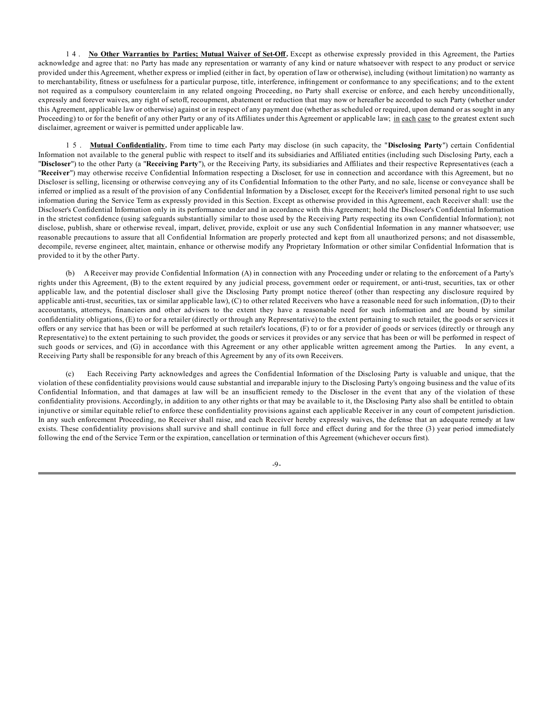1 4 . **No Other Warranties by Parties; Mutual Waiver of Set-Off.** Except as otherwise expressly provided in this Agreement, the Parties acknowledge and agree that: no Party has made any representation or warranty of any kind or nature whatsoever with respect to any product or service provided under this Agreement, whether express or implied (either in fact, by operation of law or otherwise), including (without limitation) no warranty as to merchantability, fitness or usefulness for a particular purpose, title, interference, infringement or conformance to any specifications; and to the extent not required as a compulsory counterclaim in any related ongoing Proceeding, no Party shall exercise or enforce, and each hereby unconditionally, expressly and forever waives, any right of setoff, recoupment, abatement or reduction that may now or hereafter be accorded to such Party (whether under this Agreement, applicable law or otherwise) against or in respect of any payment due (whether as scheduled or required, upon demand or as sought in any Proceeding) to or for the benefit of any other Party or any of its Affiliates under this Agreement or applicable law; in each case to the greatest extent such disclaimer, agreement or waiver is permitted under applicable law.

1 5 . **Mutual Confidentiality.** From time to time each Party may disclose (in such capacity, the "**Disclosing Party**") certain Confidential Information not available to the general public with respect to itself and its subsidiaries and Affiliated entities (including such Disclosing Party, each a "**Discloser**") to the other Party (a "**Receiving Party**"), or the Receiving Party, its subsidiaries and Affiliates and their respective Representatives (each a "**Receiver**") may otherwise receive Confidential Information respecting a Discloser, for use in connection and accordance with this Agreement, but no Discloser is selling, licensing or otherwise conveying any of its Confidential Information to the other Party, and no sale, license or conveyance shall be inferred or implied as a result of the provision of any Confidential Information by a Discloser, except for the Receiver's limited personal right to use such information during the Service Term as expressly provided in this Section. Except as otherwise provided in this Agreement, each Receiver shall: use the Discloser's Confidential Information only in its performance under and in accordance with this Agreement; hold the Discloser's Confidential Information in the strictest confidence (using safeguards substantially similar to those used by the Receiving Party respecting its own Confidential Information); not disclose, publish, share or otherwise reveal, impart, deliver, provide, exploit or use any such Confidential Information in any manner whatsoever; use reasonable precautions to assure that all Confidential Information are properly protected and kept from all unauthorized persons; and not disassemble, decompile, reverse engineer, alter, maintain, enhance or otherwise modify any Proprietary Information or other similar Confidential Information that is provided to it by the other Party.

(b) A Receiver may provide Confidential Information (A) in connection with any Proceeding under or relating to the enforcement of a Party's rights under this Agreement, (B) to the extent required by any judicial process, government order or requirement, or anti-trust, securities, tax or other applicable law, and the potential discloser shall give the Disclosing Party prompt notice thereof (other than respecting any disclosure required by applicable anti-trust, securities, tax or similar applicable law), (C) to other related Receivers who have a reasonable need for such information, (D) to their accountants, attorneys, financiers and other advisers to the extent they have a reasonable need for such information and are bound by similar confidentiality obligations, (E) to or for a retailer (directly or through any Representative) to the extent pertaining to such retailer, the goods or services it offers or any service that has been or will be performed at such retailer's locations, (F) to or for a provider of goods or services (directly or through any Representative) to the extent pertaining to such provider, the goods or services it provides or any service that has been or will be performed in respect of such goods or services, and (G) in accordance with this Agreement or any other applicable written agreement among the Parties. In any event, a Receiving Party shall be responsible for any breach of this Agreement by any of its own Receivers.

(c) Each Receiving Party acknowledges and agrees the Confidential Information of the Disclosing Party is valuable and unique, that the violation of these confidentiality provisions would cause substantial and irreparable injury to the Disclosing Party's ongoing business and the value of its Confidential Information, and that damages at law will be an insufficient remedy to the Discloser in the event that any of the violation of these confidentiality provisions. Accordingly, in addition to any other rights or that may be available to it, the Disclosing Party also shall be entitled to obtain injunctive or similar equitable relief to enforce these confidentiality provisions against each applicable Receiver in any court of competent jurisdiction. In any such enforcement Proceeding, no Receiver shall raise, and each Receiver hereby expressly waives, the defense that an adequate remedy at law exists. These confidentiality provisions shall survive and shall continue in full force and effect during and for the three (3) year period immediately following the end of the Service Term or the expiration, cancellation or termination of this Agreement (whichever occurs first).

-9-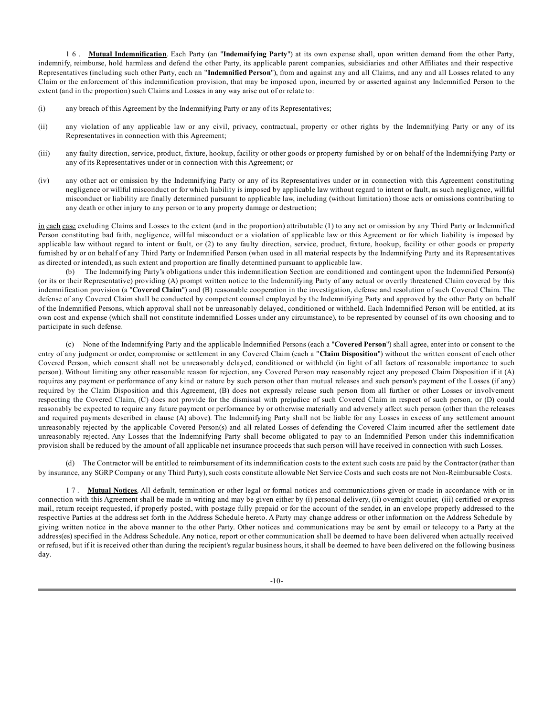1 6 . **Mutual Indemnification**. Each Party (an "**Indemnifying Party**") at its own expense shall, upon written demand from the other Party, indemnify, reimburse, hold harmless and defend the other Party, its applicable parent companies, subsidiaries and other Affiliates and their respective Representatives (including such other Party, each an "**Indemnified Person**"), from and against any and all Claims, and any and all Losses related to any Claim or the enforcement of this indemnification provision, that may be imposed upon, incurred by or asserted against any Indemnified Person to the extent (and in the proportion) such Claims and Losses in any way arise out of or relate to:

- (i) any breach of this Agreement by the Indemnifying Party or any of its Representatives;
- (ii) any violation of any applicable law or any civil, privacy, contractual, property or other rights by the Indemnifying Party or any of its Representatives in connection with this Agreement;
- (iii) any faulty direction, service, product, fixture, hookup, facility or other goods or property furnished by or on behalf of the Indemnifying Party or any of its Representatives under or in connection with this Agreement; or
- (iv) any other act or omission by the Indemnifying Party or any of its Representatives under or in connection with this Agreement constituting negligence or willful misconduct or for which liability is imposed by applicable law without regard to intent or fault, as such negligence, willful misconduct or liability are finally determined pursuant to applicable law, including (without limitation) those acts or omissions contributing to any death or other injury to any person or to any property damage or destruction;

in each case excluding Claims and Losses to the extent (and in the proportion) attributable (1) to any act or omission by any Third Party or Indemnified Person constituting bad faith, negligence, willful misconduct or a violation of applicable law or this Agreement or for which liability is imposed by applicable law without regard to intent or fault, or (2) to any faulty direction, service, product, fixture, hookup, facility or other goods or property furnished by or on behalf of any Third Party or Indemnified Person (when used in all material respects by the Indemnifying Party and its Representatives as directed or intended), as such extent and proportion are finally determined pursuant to applicable law.

(b) The Indemnifying Party's obligations under this indemnification Section are conditioned and contingent upon the Indemnified Person(s) (or its or their Representative) providing (A) prompt written notice to the Indemnifying Party of any actual or overtly threatened Claim covered by this indemnification provision (a "**Covered Claim**") and (B) reasonable cooperation in the investigation, defense and resolution of such Covered Claim. The defense of any Covered Claim shall be conducted by competent counsel employed by the Indemnifying Party and approved by the other Party on behalf of the Indemnified Persons, which approval shall not be unreasonably delayed, conditioned or withheld. Each Indemnified Person will be entitled, at its own cost and expense (which shall not constitute indemnified Losses under any circumstance), to be represented by counsel of its own choosing and to participate in such defense.

(c) None of the Indemnifying Party and the applicable Indemnified Persons (each a "**Covered Person**") shall agree, enter into or consent to the entry of any judgment or order, compromise or settlement in any Covered Claim (each a "**Claim Disposition**") without the written consent of each other Covered Person, which consent shall not be unreasonably delayed, conditioned or withheld (in light of all factors of reasonable importance to such person). Without limiting any other reasonable reason for rejection, any Covered Person may reasonably reject any proposed Claim Disposition if it (A) requires any payment or performance of any kind or nature by such person other than mutual releases and such person's payment of the Losses (if any) required by the Claim Disposition and this Agreement, (B) does not expressly release such person from all further or other Losses or involvement respecting the Covered Claim, (C) does not provide for the dismissal with prejudice of such Covered Claim in respect of such person, or (D) could reasonably be expected to require any future payment or performance by or otherwise materially and adversely affect such person (other than the releases and required payments described in clause (A) above). The Indemnifying Party shall not be liable for any Losses in excess of any settlement amount unreasonably rejected by the applicable Covered Person(s) and all related Losses of defending the Covered Claim incurred after the settlement date unreasonably rejected. Any Losses that the Indemnifying Party shall become obligated to pay to an Indemnified Person under this indemnification provision shall be reduced by the amount of all applicable net insurance proceeds that such person will have received in connection with such Losses.

(d) The Contractor will be entitled to reimbursement of its indemnification costs to the extent such costs are paid by the Contractor (rather than by insurance, any SGRP Company or any Third Party), such costs constitute allowable Net Service Costs and such costs are not Non-Reimbursable Costs.

1 7 . **Mutual Notices**. All default, termination or other legal or formal notices and communications given or made in accordance with or in connection with this Agreement shall be made in writing and may be given either by (i) personal delivery, (ii) overnight courier, (iii) certified or express mail, return receipt requested, if properly posted, with postage fully prepaid or for the account of the sender, in an envelope properly addressed to the respective Parties at the address set forth in the Address Schedule hereto. A Party may change address or other information on the Address Schedule by giving written notice in the above manner to the other Party. Other notices and communications may be sent by email or telecopy to a Party at the address(es) specified in the Address Schedule. Any notice, report or other communication shall be deemed to have been delivered when actually received or refused, but if it is received other than during the recipient's regular business hours, it shall be deemed to have been delivered on the following business day.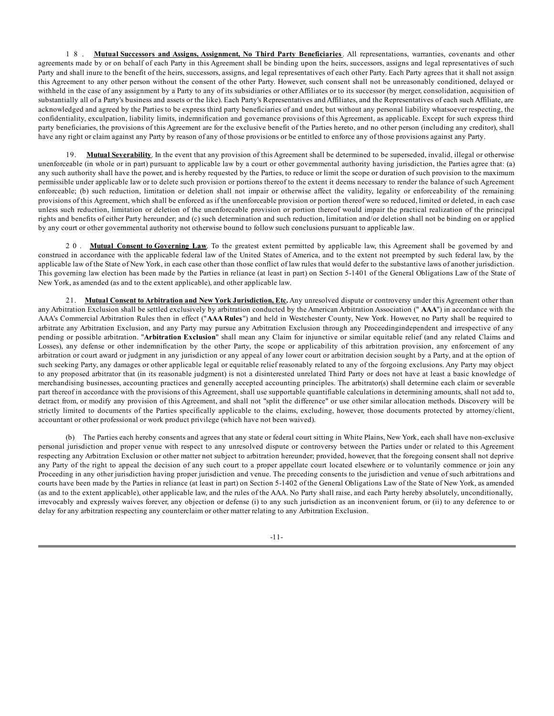1 8 . **Mutual Successors and Assigns, Assignment, No Third Party Beneficiaries**. All representations, warranties, covenants and other agreements made by or on behalf of each Party in this Agreement shall be binding upon the heirs, successors, assigns and legal representatives of such Party and shall inure to the benefit of the heirs, successors, assigns, and legal representatives of each other Party. Each Party agrees that it shall not assign this Agreement to any other person without the consent of the other Party. However, such consent shall not be unreasonably conditioned, delayed or withheld in the case of any assignment by a Party to any of its subsidiaries or other Affiliates or to its successor (by merger, consolidation, acquisition of substantially all of a Party's business and assets or the like). Each Party's Representatives and Affiliates, and the Representatives of each such Affiliate, are acknowledged and agreed by the Parties to be express third party beneficiaries of and under, but without any personal liability whatsoever respecting, the confidentiality, exculpation, liability limits, indemnification and governance provisions of this Agreement, as applicable. Except for such express third party beneficiaries, the provisions of this Agreement are for the exclusive benefit of the Parties hereto, and no other person (including any creditor), shall have any right or claim against any Party by reason of any of those provisions or be entitled to enforce any of those provisions against any Party.

19. **Mutual Severability**. In the event that any provision of this Agreement shall be determined to be superseded, invalid, illegal or otherwise unenforceable (in whole or in part) pursuant to applicable law by a court or other governmental authority having jurisdiction, the Parties agree that: (a) any such authority shall have the power, and is hereby requested by the Parties, to reduce or limit the scope or duration of such provision to the maximum permissible under applicable law or to delete such provision or portions thereof to the extent it deems necessary to render the balance of such Agreement enforceable; (b) such reduction, limitation or deletion shall not impair or otherwise affect the validity, legality or enforceability of the remaining provisions of this Agreement, which shall be enforced as if the unenforceable provision or portion thereof were so reduced, limited or deleted, in each case unless such reduction, limitation or deletion of the unenforceable provision or portion thereof would impair the practical realization of the principal rights and benefits of either Party hereunder; and (c) such determination and such reduction, limitation and/or deletion shall not be binding on or applied by any court or other governmental authority not otherwise bound to follow such conclusions pursuant to applicable law.

2 0 . **Mutual Consent to Governing Law**. To the greatest extent permitted by applicable law, this Agreement shall be governed by and construed in accordance with the applicable federal law of the United States of America, and to the extent not preempted by such federal law, by the applicable law of the State of New York, in each case other than those conflict of law rules that would defer to the substantive laws of another jurisdiction. This governing law election has been made by the Parties in reliance (at least in part) on Section 5-1401 of the General Obligations Law of the State of New York, as amended (as and to the extent applicable), and other applicable law.

21. **Mutual Consent to Arbitration and New York Jurisdiction, Etc.** Any unresolved dispute or controversy under this Agreement other than any Arbitration Exclusion shall be settled exclusively by arbitration conducted by the American Arbitration Association (" **AAA**") in accordance with the AAA's Commercial Arbitration Rules then in effect ("**AAA Rules**") and held in Westchester County, New York. However, no Party shall be required to arbitrate any Arbitration Exclusion, and any Party may pursue any Arbitration Exclusion through any Proceedingindependent and irrespective of any pending or possible arbitration. "**Arbitration Exclusion**" shall mean any Claim for injunctive or similar equitable relief (and any related Claims and Losses), any defense or other indemnification by the other Party, the scope or applicability of this arbitration provision, any enforcement of any arbitration or court award or judgment in any jurisdiction or any appeal of any lower court or arbitration decision sought by a Party, and at the option of such seeking Party, any damages or other applicable legal or equitable relief reasonably related to any of the forgoing exclusions. Any Party may object to any proposed arbitrator that (in its reasonable judgment) is not a disinterested unrelated Third Party or does not have at least a basic knowledge of merchandising businesses, accounting practices and generally accepted accounting principles. The arbitrator(s) shall determine each claim or severable part thereof in accordance with the provisions of this Agreement, shall use supportable quantifiable calculations in determining amounts, shall not add to, detract from, or modify any provision of this Agreement, and shall not "split the difference" or use other similar allocation methods. Discovery will be strictly limited to documents of the Parties specifically applicable to the claims, excluding, however, those documents protected by attorney/client, accountant or other professional or work product privilege (which have not been waived).

(b) The Parties each hereby consents and agrees that any state or federal court sitting in White Plains, New York, each shall have non-exclusive personal jurisdiction and proper venue with respect to any unresolved dispute or controversy between the Parties under or related to this Agreement respecting any Arbitration Exclusion or other matter not subject to arbitration hereunder; provided, however, that the foregoing consent shall not deprive any Party of the right to appeal the decision of any such court to a proper appellate court located elsewhere or to voluntarily commence or join any Proceeding in any other jurisdiction having proper jurisdiction and venue. The preceding consents to the jurisdiction and venue of such arbitrations and courts have been made by the Parties in reliance (at least in part) on Section 5-1402 of the General Obligations Law of the State of New York, as amended (as and to the extent applicable), other applicable law, and the rules of the AAA. No Party shall raise, and each Party hereby absolutely, unconditionally, irrevocably and expressly waives forever, any objection or defense (i) to any such jurisdiction as an inconvenient forum, or (ii) to any deference to or delay for any arbitration respecting any counterclaim or other matter relating to any Arbitration Exclusion.

-11-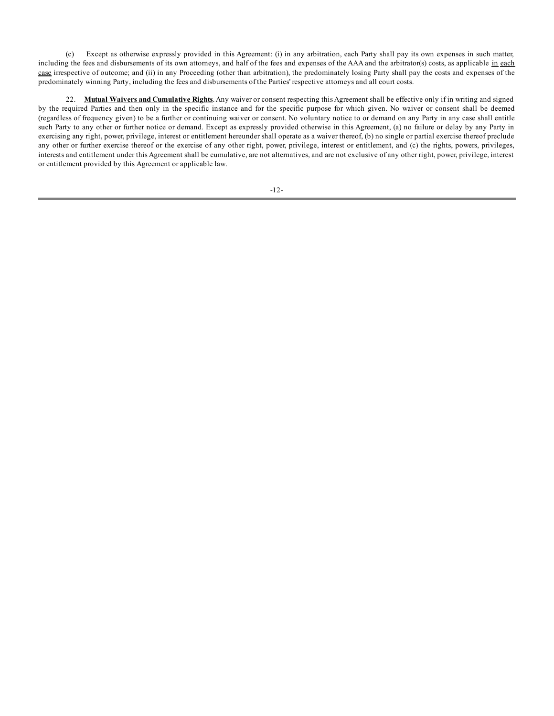(c) Except as otherwise expressly provided in this Agreement: (i) in any arbitration, each Party shall pay its own expenses in such matter, including the fees and disbursements of its own attorneys, and half of the fees and expenses of the AAA and the arbitrator(s) costs, as applicable in each case irrespective of outcome; and (ii) in any Proceeding (other than arbitration), the predominately losing Party shall pay the costs and expenses of the predominately winning Party, including the fees and disbursements of the Parties' respective attorneys and all court costs.

22. **Mutual Waivers and Cumulative Rights**. Any waiver or consent respecting this Agreement shall be effective only if in writing and signed by the required Parties and then only in the specific instance and for the specific purpose for which given. No waiver or consent shall be deemed (regardless of frequency given) to be a further or continuing waiver or consent. No voluntary notice to or demand on any Party in any case shall entitle such Party to any other or further notice or demand. Except as expressly provided otherwise in this Agreement, (a) no failure or delay by any Party in exercising any right, power, privilege, interest or entitlement hereunder shall operate as a waiver thereof, (b) no single or partial exercise thereof preclude any other or further exercise thereof or the exercise of any other right, power, privilege, interest or entitlement, and (c) the rights, powers, privileges, interests and entitlement under this Agreement shall be cumulative, are not alternatives, and are not exclusive of any other right, power, privilege, interest or entitlement provided by this Agreement or applicable law.

-12-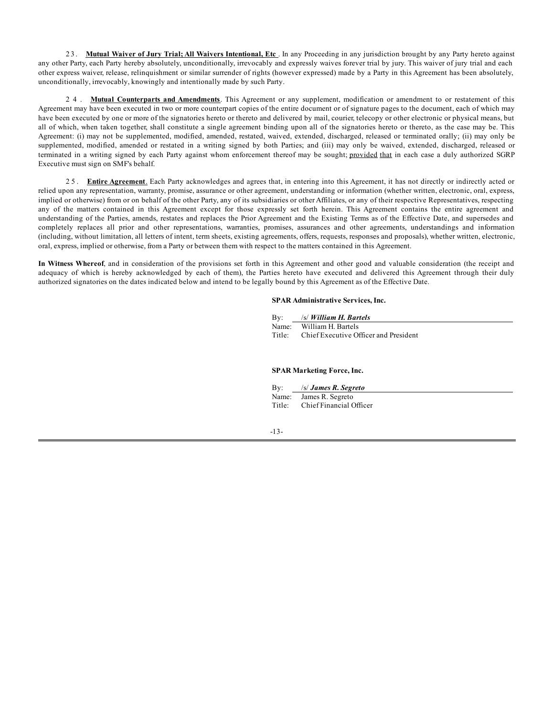2 3 . **Mutual Waiver of Jury Trial; All Waivers Intentional, Etc** . In any Proceeding in any jurisdiction brought by any Party hereto against any other Party, each Party hereby absolutely, unconditionally, irrevocably and expressly waives forever trial by jury. This waiver of jury trial and each other express waiver, release, relinquishment or similar surrender of rights (however expressed) made by a Party in this Agreement has been absolutely, unconditionally, irrevocably, knowingly and intentionally made by such Party.

2 4 . **Mutual Counterparts and Amendments**. This Agreement or any supplement, modification or amendment to or restatement of this Agreement may have been executed in two or more counterpart copies of the entire document or of signature pages to the document, each of which may have been executed by one or more of the signatories hereto or thereto and delivered by mail, courier, telecopy or other electronic or physical means, but all of which, when taken together, shall constitute a single agreement binding upon all of the signatories hereto or thereto, as the case may be. This Agreement: (i) may not be supplemented, modified, amended, restated, waived, extended, discharged, released or terminated orally; (ii) may only be supplemented, modified, amended or restated in a writing signed by both Parties; and (iii) may only be waived, extended, discharged, released or terminated in a writing signed by each Party against whom enforcement thereof may be sought; provided that in each case a duly authorized SGRP Executive must sign on SMF's behalf.

2 5 . **Entire Agreement**. Each Party acknowledges and agrees that, in entering into this Agreement, it has not directly or indirectly acted or relied upon any representation, warranty, promise, assurance or other agreement, understanding or information (whether written, electronic, oral, express, implied or otherwise) from or on behalf of the other Party, any of its subsidiaries or other Affiliates, or any of their respective Representatives, respecting any of the matters contained in this Agreement except for those expressly set forth herein. This Agreement contains the entire agreement and understanding of the Parties, amends, restates and replaces the Prior Agreement and the Existing Terms as of the Effective Date, and supersedes and completely replaces all prior and other representations, warranties, promises, assurances and other agreements, understandings and information (including, without limitation, all letters of intent, term sheets, existing agreements, offers, requests, responses and proposals), whether written, electronic, oral, express, implied or otherwise, from a Party or between them with respect to the matters contained in this Agreement.

**In Witness Whereof**, and in consideration of the provisions set forth in this Agreement and other good and valuable consideration (the receipt and adequacy of which is hereby acknowledged by each of them), the Parties hereto have executed and delivered this Agreement through their duly authorized signatories on the dates indicated below and intend to be legally bound by this Agreement as of the Effective Date.

#### **SPAR Administrative Services, Inc.**

| $\operatorname{By}$ : | /s/ William H. Bartels                       |
|-----------------------|----------------------------------------------|
|                       | Name: William H. Bartels                     |
|                       | Title: Chief Executive Officer and President |

#### **SPAR Marketing Force, Inc.**

| $\mathbf{By:}$ /s/ James R. Segreto                      |
|----------------------------------------------------------|
| Name: James R. Segreto<br>Title: Chief Financial Officer |

-13-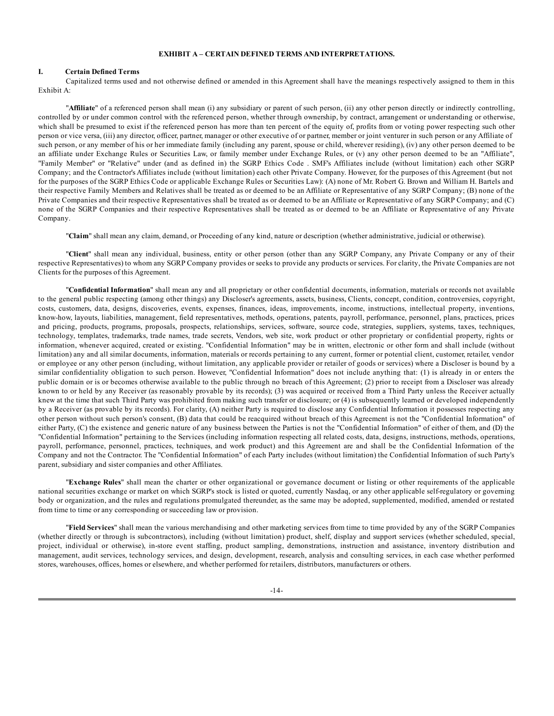## **EXHIBIT A – CERTAIN DEFINED TERMS AND INTERPRETATIONS.**

#### **I. Certain Defined Terms**

Capitalized terms used and not otherwise defined or amended in this Agreement shall have the meanings respectively assigned to them in this Exhibit A:

"**Affiliate**" of a referenced person shall mean (i) any subsidiary or parent of such person, (ii) any other person directly or indirectly controlling, controlled by or under common control with the referenced person, whether through ownership, by contract, arrangement or understanding or otherwise, which shall be presumed to exist if the referenced person has more than ten percent of the equity of, profits from or voting power respecting such other person or vice versa, (iii) any director, officer, partner, manager or other executive of or partner, member or joint venturer in such person or any Affiliate of such person, or any member of his or her immediate family (including any parent, spouse or child, wherever residing), (iv) any other person deemed to be an affiliate under Exchange Rules or Securities Law, or family member under Exchange Rules, or (v) any other person deemed to be an "Affiliate", "Family Member" or "Relative" under (and as defined in) the SGRP Ethics Code . SMF's Affiliates include (without limitation) each other SGRP Company; and the Contractor's Affiliates include (without limitation) each other Private Company. However, for the purposes of this Agreement (but not for the purposes of the SGRP Ethics Code or applicable Exchange Rules or Securities Law): (A) none of Mr. Robert G. Brown and William H. Bartels and their respective Family Members and Relatives shall be treated as or deemed to be an Affiliate or Representative of any SGRP Company; (B) none of the Private Companies and their respective Representatives shall be treated as or deemed to be an Affiliate or Representative of any SGRP Company; and (C) none of the SGRP Companies and their respective Representatives shall be treated as or deemed to be an Affiliate or Representative of any Private Company.

"**Claim**" shall mean any claim, demand, or Proceeding of any kind, nature or description (whether administrative, judicial or otherwise).

"**Client**" shall mean any individual, business, entity or other person (other than any SGRP Company, any Private Company or any of their respective Representatives) to whom any SGRP Company provides or seeks to provide any products or services. For clarity, the Private Companies are not Clients for the purposes of this Agreement.

"**Confidential Information**" shall mean any and all proprietary or other confidential documents, information, materials or records not available to the general public respecting (among other things) any Discloser's agreements, assets, business, Clients, concept, condition, controversies, copyright, costs, customers, data, designs, discoveries, events, expenses, finances, ideas, improvements, income, instructions, intellectual property, inventions, know-how, layouts, liabilities, management, field representatives, methods, operations, patents, payroll, performance, personnel, plans, practices, prices and pricing, products, programs, proposals, prospects, relationships, services, software, source code, strategies, suppliers, systems, taxes, techniques, technology, templates, trademarks, trade names, trade secrets, Vendors, web site, work product or other proprietary or confidential property, rights or information, whenever acquired, created or existing. "Confidential Information" may be in written, electronic or other form and shall include (without limitation) any and all similar documents, information, materials or records pertaining to any current, former or potential client, customer, retailer, vendor or employee or any other person (including, without limitation, any applicable provider or retailer of goods or services) where a Discloser is bound by a similar confidentiality obligation to such person. However, "Confidential Information" does not include anything that: (1) is already in or enters the public domain or is or becomes otherwise available to the public through no breach of this Agreement; (2) prior to receipt from a Discloser was already known to or held by any Receiver (as reasonably provable by its records); (3) was acquired or received from a Third Party unless the Receiver actually knew at the time that such Third Party was prohibited from making such transfer or disclosure; or (4) is subsequently learned or developed independently by a Receiver (as provable by its records). For clarity, (A) neither Party is required to disclose any Confidential Information it possesses respecting any other person without such person's consent, (B) data that could be reacquired without breach of this Agreement is not the "Confidential Information" of either Party, (C) the existence and generic nature of any business between the Parties is not the "Confidential Information" of either of them, and (D) the "Confidential Information" pertaining to the Services (including information respecting all related costs, data, designs, instructions, methods, operations, payroll, performance, personnel, practices, techniques, and work product) and this Agreement are and shall be the Confidential Information of the Company and not the Contractor. The "Confidential Information" of each Party includes (without limitation) the Confidential Information of such Party's parent, subsidiary and sister companies and other Affiliates.

"**Exchange Rules**" shall mean the charter or other organizational or governance document or listing or other requirements of the applicable national securities exchange or market on which SGRP's stock is listed or quoted, currently Nasdaq, or any other applicable self-regulatory or governing body or organization, and the rules and regulations promulgated thereunder, as the same may be adopted, supplemented, modified, amended or restated from time to time or any corresponding or succeeding law or provision.

"**Field Services**" shall mean the various merchandising and other marketing services from time to time provided by any of the SGRP Companies (whether directly or through is subcontractors), including (without limitation) product, shelf, display and support services (whether scheduled, special, project, individual or otherwise), in-store event staffing, product sampling, demonstrations, instruction and assistance, inventory distribution and management, audit services, technology services, and design, development, research, analysis and consulting services, in each case whether performed stores, warehouses, offices, homes or elsewhere, and whether performed for retailers, distributors, manufacturers or others.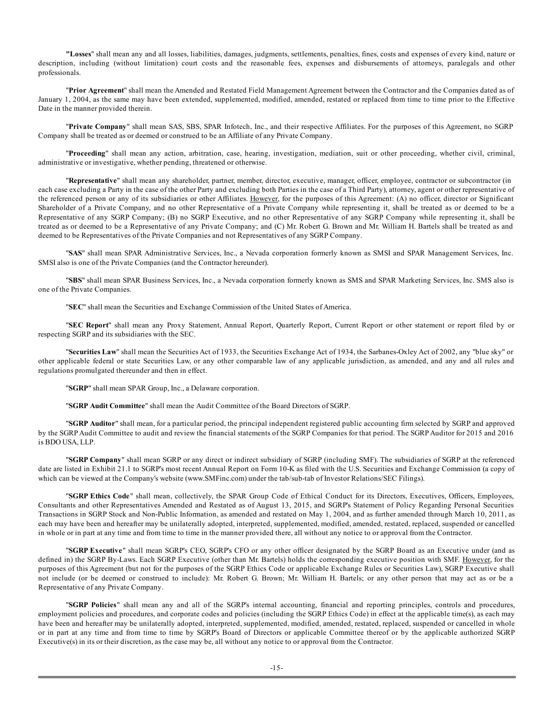**"Losses**" shall mean any and all losses, liabilities, damages, judgments, settlements, penalties, fines, costs and expenses of every kind, nature or description, including (without limitation) court costs and the reasonable fees, expenses and disbursements of attorneys, paralegals and other professionals.

"**Prior Agreement**" shall mean the Amended and Restated Field Management Agreement between the Contractor and the Companies dated as of January 1, 2004, as the same may have been extended, supplemented, modified, amended, restated or replaced from time to time prior to the Effective Date in the manner provided therein.

"**Private Company**" shall mean SAS, SBS, SPAR Infotech, Inc., and their respective Affiliates. For the purposes of this Agreement, no SGRP Company shall be treated as or deemed or construed to be an Affiliate of any Private Company.

"**Proceeding**" shall mean any action, arbitration, case, hearing, investigation, mediation, suit or other proceeding, whether civil, criminal, administrative or investigative, whether pending, threatened or otherwise.

"**Representative**" shall mean any shareholder, partner, member, director, executive, manager, officer, employee, contractor or subcontractor (in each case excluding a Party in the case of the other Party and excluding both Parties in the case of a Third Party), attorney, agent or other representative of the referenced person or any of its subsidiaries or other Affiliates. However, for the purposes of this Agreement: (A) no officer, director or Significant Shareholder of a Private Company, and no other Representative of a Private Company while representing it, shall be treated as or deemed to be a Representative of any SGRP Company; (B) no SGRP Executive, and no other Representative of any SGRP Company while representing it, shall be treated as or deemed to be a Representative of any Private Company; and (C) Mr. Robert G. Brown and Mr. William H. Bartels shall be treated as and deemed to be Representatives of the Private Companies and not Representatives of any SGRP Company.

"**SAS**" shall mean SPAR Administrative Services, Inc., a Nevada corporation formerly known as SMSI and SPAR Management Services, Inc. SMSI also is one of the Private Companies (and the Contractor hereunder).

"**SBS**" shall mean SPAR Business Services, Inc., a Nevada corporation formerly known as SMS and SPAR Marketing Services, Inc. SMS also is one of the Private Companies.

"**SEC**" shall mean the Securities and Exchange Commission of the United States of America.

"**SEC Report**" shall mean any Proxy Statement, Annual Report, Quarterly Report, Current Report or other statement or report filed by or respecting SGRP and its subsidiaries with the SEC.

"**Securities Law**" shall mean the Securities Act of 1933, the Securities Exchange Act of 1934, the Sarbanes-Oxley Act of 2002, any "blue sky" or other applicable federal or state Securities Law, or any other comparable law of any applicable jurisdiction, as amended, and any and all rules and regulations promulgated thereunder and then in effect.

"**SGRP**" shall mean SPAR Group, Inc., a Delaware corporation.

"**SGRP Audit Committee**" shall mean the Audit Committee of the Board Directors of SGRP.

"**SGRP Auditor**" shall mean, for a particular period, the principal independent registered public accounting firm selected by SGRP and approved by the SGRP Audit Committee to audit and review the financial statements of the SGRP Companies for that period. The SGRP Auditor for 2015 and 2016 is BDO USA, LLP.

"**SGRP Company**" shall mean SGRP or any direct or indirect subsidiary of SGRP (including SMF). The subsidiaries of SGRP at the referenced date are listed in Exhibit 21.1 to SGRP's most recent Annual Report on Form 10-K as filed with the U.S. Securities and Exchange Commission (a copy of which can be viewed at the Company's website (www.SMFinc.com) under the tab/sub-tab of Investor Relations/SEC Filings).

"**SGRP Ethics Code**" shall mean, collectively, the SPAR Group Code of Ethical Conduct for its Directors, Executives, Officers, Employees, Consultants and other Representatives Amended and Restated as of August 13, 2015, and SGRP's Statement of Policy Regarding Personal Securities Transactions in SGRP Stock and Non-Public Information, as amended and restated on May 1, 2004, and as further amended through March 10, 2011, as each may have been and hereafter may be unilaterally adopted, interpreted, supplemented, modified, amended, restated, replaced, suspended or cancelled in whole or in part at any time and from time to time in the manner provided there, all without any notice to or approval from the Contractor.

"**SGRP Executive**" shall mean SGRP's CEO, SGRP's CFO or any other officer designated by the SGRP Board as an Executive under (and as defined in) the SGRP By-Laws. Each SGRP Executive (other than Mr. Bartels) holds the corresponding executive position with SMF. However, for the purposes of this Agreement (but not for the purposes of the SGRP Ethics Code or applicable Exchange Rules or Securities Law), SGRP Executive shall not include (or be deemed or construed to include): Mr. Robert G. Brown; Mr. William H. Bartels; or any other person that may act as or be a Representative of any Private Company.

"**SGRP Policies**" shall mean any and all of the SGRP's internal accounting, financial and reporting principles, controls and procedures, employment policies and procedures, and corporate codes and policies (including the SGRP Ethics Code) in effect at the applicable time(s), as each may have been and hereafter may be unilaterally adopted, interpreted, supplemented, modified, amended, restated, replaced, suspended or cancelled in whole or in part at any time and from time to time by SGRP's Board of Directors or applicable Committee thereof or by the applicable authorized SGRP Executive(s) in its or their discretion, as the case may be, all without any notice to or approval from the Contractor.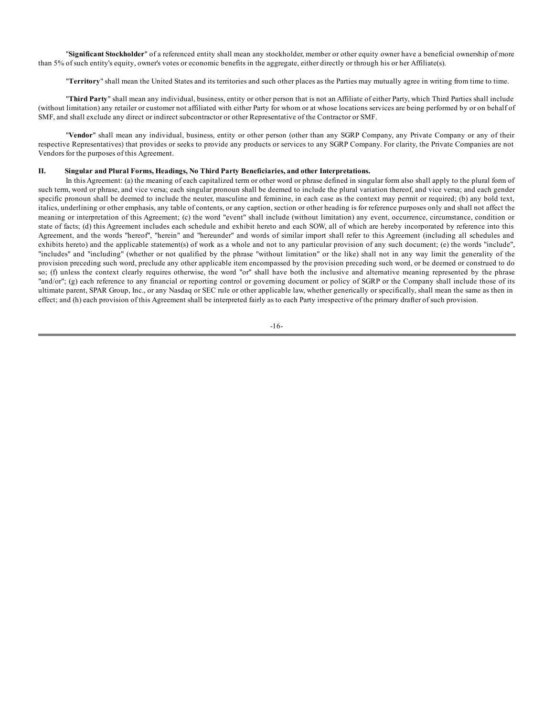"**Significant Stockholder**" of a referenced entity shall mean any stockholder, member or other equity owner have a beneficial ownership of more than 5% of such entity's equity, owner's votes or economic benefits in the aggregate, either directly or through his or her Affiliate(s).

"**Territory**" shall mean the United States and its territories and such other places as the Parties may mutually agree in writing from time to time.

"**Third Party**" shall mean any individual, business, entity or other person that is not an Affiliate of either Party, which Third Parties shall include (without limitation) any retailer or customer not affiliated with either Party for whom or at whose locations services are being performed by or on behalf of SMF, and shall exclude any direct or indirect subcontractor or other Representative of the Contractor or SMF.

"**Vendor**" shall mean any individual, business, entity or other person (other than any SGRP Company, any Private Company or any of their respective Representatives) that provides or seeks to provide any products or services to any SGRP Company. For clarity, the Private Companies are not Vendors for the purposes of this Agreement.

#### **II. Singular and Plural Forms, Headings, No Third Party Beneficiaries, and other Interpretations.**

In this Agreement: (a) the meaning of each capitalized term or other word or phrase defined in singular form also shall apply to the plural form of such term, word or phrase, and vice versa; each singular pronoun shall be deemed to include the plural variation thereof, and vice versa; and each gender specific pronoun shall be deemed to include the neuter, masculine and feminine, in each case as the context may permit or required; (b) any bold text, italics, underlining or other emphasis, any table of contents, or any caption, section or other heading is for reference purposes only and shall not affect the meaning or interpretation of this Agreement; (c) the word "event" shall include (without limitation) any event, occurrence, circumstance, condition or state of facts; (d) this Agreement includes each schedule and exhibit hereto and each SOW, all of which are hereby incorporated by reference into this Agreement, and the words "hereof", "herein" and "hereunder" and words of similar import shall refer to this Agreement (including all schedules and exhibits hereto) and the applicable statement(s) of work as a whole and not to any particular provision of any such document; (e) the words "include", "includes" and "including" (whether or not qualified by the phrase "without limitation" or the like) shall not in any way limit the generality of the provision preceding such word, preclude any other applicable item encompassed by the provision preceding such word, or be deemed or construed to do so; (f) unless the context clearly requires otherwise, the word "or" shall have both the inclusive and alternative meaning represented by the phrase "and/or"; (g) each reference to any financial or reporting control or governing document or policy of SGRP or the Company shall include those of its ultimate parent, SPAR Group, Inc., or any Nasdaq or SEC rule or other applicable law, whether generically or specifically, shall mean the same as then in effect; and (h) each provision of this Agreement shall be interpreted fairly as to each Party irrespective of the primary drafter of such provision.

-16-